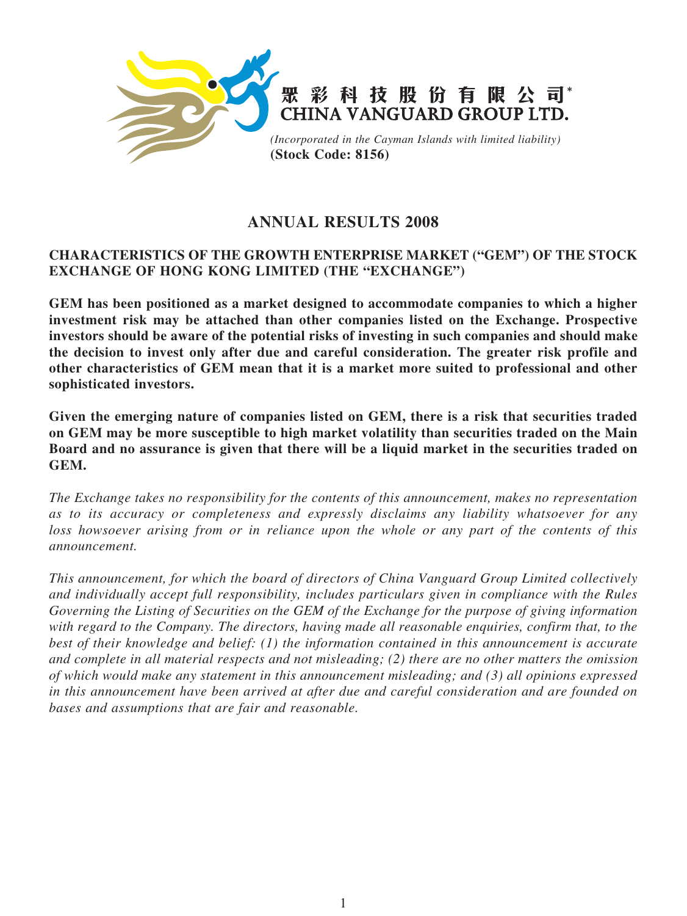

# **ANNUAL RESULTS 2008**

## **CHARACTERISTICS OF THE GROWTH ENTERPRISE MARKET ("GEM") OF THE STOCK EXCHANGE OF HONG KONG LIMITED (THE "EXCHANGE")**

**GEM has been positioned as a market designed to accommodate companies to which a higher investment risk may be attached than other companies listed on the Exchange. Prospective investors should be aware of the potential risks of investing in such companies and should make the decision to invest only after due and careful consideration. The greater risk profile and other characteristics of GEM mean that it is a market more suited to professional and other sophisticated investors.**

**Given the emerging nature of companies listed on GEM, there is a risk that securities traded on GEM may be more susceptible to high market volatility than securities traded on the Main Board and no assurance is given that there will be a liquid market in the securities traded on GEM.**

*The Exchange takes no responsibility for the contents of this announcement, makes no representation as to its accuracy or completeness and expressly disclaims any liability whatsoever for any loss howsoever arising from or in reliance upon the whole or any part of the contents of this announcement.*

*This announcement, for which the board of directors of China Vanguard Group Limited collectively and individually accept full responsibility, includes particulars given in compliance with the Rules Governing the Listing of Securities on the GEM of the Exchange for the purpose of giving information with regard to the Company. The directors, having made all reasonable enquiries, confirm that, to the best of their knowledge and belief: (1) the information contained in this announcement is accurate and complete in all material respects and not misleading; (2) there are no other matters the omission of which would make any statement in this announcement misleading; and (3) all opinions expressed in this announcement have been arrived at after due and careful consideration and are founded on bases and assumptions that are fair and reasonable.*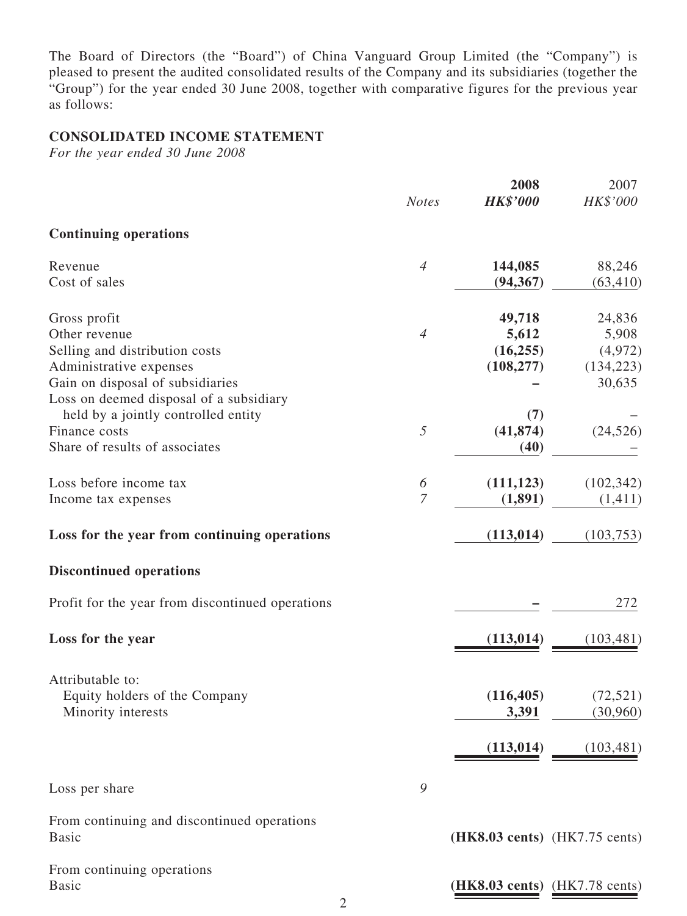The Board of Directors (the "Board") of China Vanguard Group Limited (the "Company") is pleased to present the audited consolidated results of the Company and its subsidiaries (together the "Group") for the year ended 30 June 2008, together with comparative figures for the previous year as follows:

#### **Consolidated Income Statement**

*For the year ended 30 June 2008*

|                                                             | <b>Notes</b>   | 2008<br><b>HK\$'000</b>                           | 2007<br>HK\$'000              |
|-------------------------------------------------------------|----------------|---------------------------------------------------|-------------------------------|
| <b>Continuing operations</b>                                |                |                                                   |                               |
| Revenue                                                     | $\overline{4}$ | 144,085                                           | 88,246                        |
| Cost of sales                                               |                | (94, 367)                                         | (63, 410)                     |
| Gross profit                                                |                | 49,718                                            | 24,836                        |
| Other revenue                                               | $\overline{4}$ | 5,612                                             | 5,908                         |
| Selling and distribution costs                              |                | (16, 255)                                         | (4,972)                       |
| Administrative expenses                                     |                | (108, 277)                                        | (134, 223)                    |
| Gain on disposal of subsidiaries                            |                |                                                   | 30,635                        |
| Loss on deemed disposal of a subsidiary                     |                |                                                   |                               |
| held by a jointly controlled entity                         |                | (7)                                               |                               |
| Finance costs                                               | 5              | (41, 874)                                         | (24, 526)                     |
| Share of results of associates                              |                | (40)                                              |                               |
| Loss before income tax                                      | 6              | (111, 123)                                        | (102, 342)                    |
| Income tax expenses                                         | $\overline{7}$ | (1,891)                                           | (1,411)                       |
| Loss for the year from continuing operations                |                | (113, 014)                                        | (103, 753)                    |
| <b>Discontinued operations</b>                              |                |                                                   |                               |
| Profit for the year from discontinued operations            |                |                                                   | 272                           |
| Loss for the year                                           |                | (113, 014)                                        | (103, 481)                    |
| Attributable to:                                            |                |                                                   |                               |
| Equity holders of the Company                               |                | (116, 405)                                        | (72, 521)                     |
| Minority interests                                          |                | 3,391                                             | (30,960)                      |
|                                                             |                |                                                   |                               |
|                                                             |                |                                                   | $\frac{(113,014)}{(103,481)}$ |
| Loss per share                                              | 9              |                                                   |                               |
| From continuing and discontinued operations<br><b>Basic</b> |                | $(HK8.03 \text{ cents})$ $(HK7.75 \text{ cents})$ |                               |
| From continuing operations                                  |                |                                                   |                               |
| <b>Basic</b>                                                |                | (HK8.03 cents) (HK7.78 cents)                     |                               |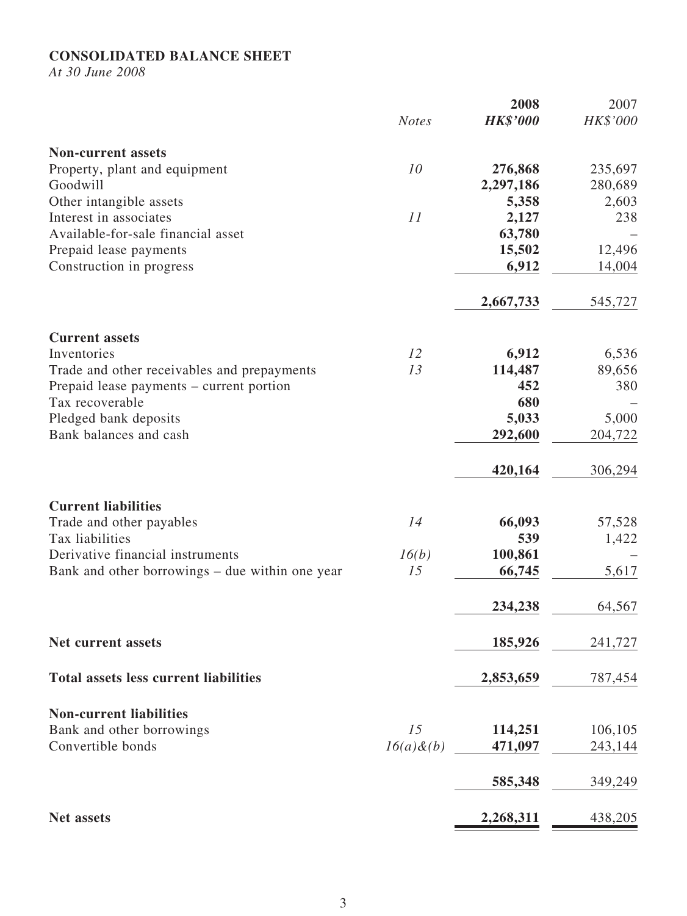# **Consolidated Balance Sheet**

*At 30 June 2008*

|                                                 |              | 2008            | 2007     |
|-------------------------------------------------|--------------|-----------------|----------|
|                                                 | <b>Notes</b> | <b>HK\$'000</b> | HK\$'000 |
| <b>Non-current assets</b>                       |              |                 |          |
| Property, plant and equipment                   | 10           | 276,868         | 235,697  |
| Goodwill                                        |              | 2,297,186       | 280,689  |
| Other intangible assets                         |              | 5,358           | 2,603    |
| Interest in associates                          | 11           | 2,127           | 238      |
| Available-for-sale financial asset              |              | 63,780          |          |
| Prepaid lease payments                          |              | 15,502          | 12,496   |
| Construction in progress                        |              | 6,912           | 14,004   |
|                                                 |              | 2,667,733       | 545,727  |
| <b>Current assets</b>                           |              |                 |          |
| Inventories                                     | 12           | 6,912           | 6,536    |
| Trade and other receivables and prepayments     | 13           | 114,487         | 89,656   |
| Prepaid lease payments – current portion        |              | 452             | 380      |
| Tax recoverable                                 |              | 680             |          |
| Pledged bank deposits                           |              | 5,033           | 5,000    |
| Bank balances and cash                          |              | 292,600         | 204,722  |
|                                                 |              | 420,164         | 306,294  |
| <b>Current liabilities</b>                      |              |                 |          |
| Trade and other payables                        | 14           | 66,093          | 57,528   |
| Tax liabilities                                 |              | 539             | 1,422    |
| Derivative financial instruments                | 16(b)        | 100,861         |          |
| Bank and other borrowings – due within one year | 15           | 66,745          | 5,617    |
|                                                 |              | 234,238         | 64,567   |
|                                                 |              |                 |          |
| Net current assets                              |              | 185,926         | 241,727  |
| <b>Total assets less current liabilities</b>    |              | 2,853,659       | 787,454  |
| <b>Non-current liabilities</b>                  |              |                 |          |
| Bank and other borrowings                       | 15           | 114,251         | 106,105  |
| Convertible bonds                               | $16(a)$ &(b) | 471,097         | 243,144  |
|                                                 |              | 585,348         | 349,249  |
|                                                 |              |                 |          |
| <b>Net assets</b>                               |              | 2,268,311       | 438,205  |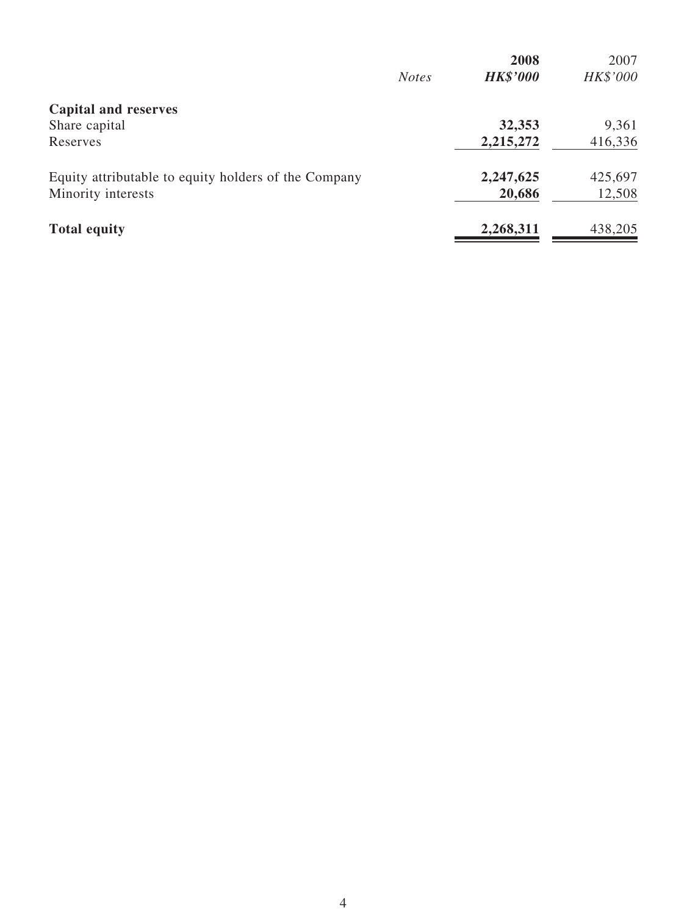|                                                      |              | 2008            | 2007     |
|------------------------------------------------------|--------------|-----------------|----------|
|                                                      | <b>Notes</b> | <b>HK\$'000</b> | HK\$'000 |
| <b>Capital and reserves</b>                          |              |                 |          |
| Share capital                                        |              | 32,353          | 9,361    |
| Reserves                                             |              | 2,215,272       | 416,336  |
| Equity attributable to equity holders of the Company |              | 2,247,625       | 425,697  |
| Minority interests                                   |              | 20,686          | 12,508   |
| <b>Total equity</b>                                  |              | 2,268,311       | 438,205  |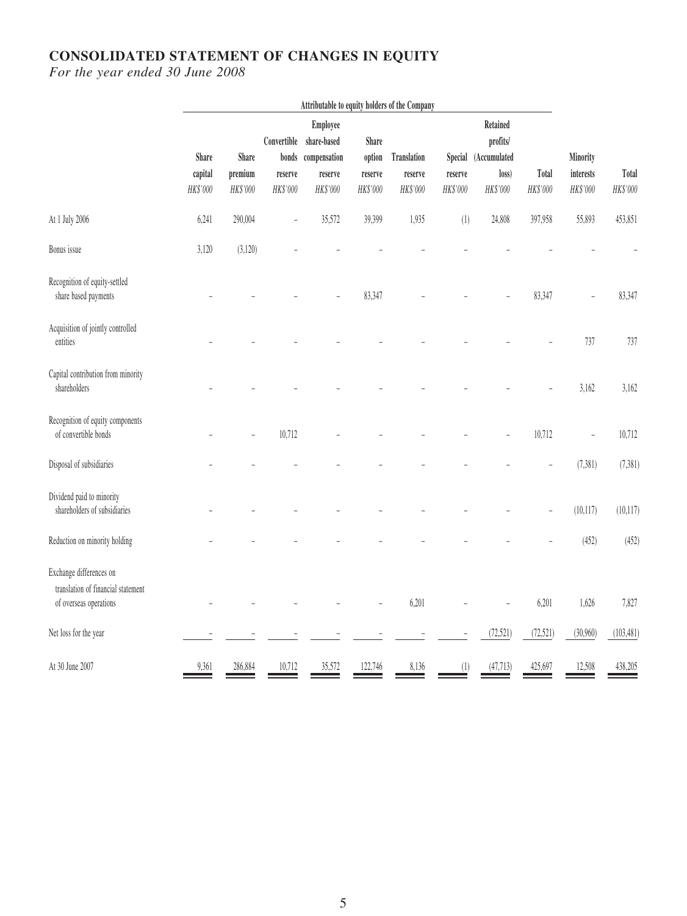#### **Consolidated Statement of Changes in Equity**

*For the year ended 30 June 2008*

|                                                                                         | Attributable to equity holders of the Company |                              |                                             |                                                                |                                        |                                    |                                |                                                           |                   |                                        |                   |
|-----------------------------------------------------------------------------------------|-----------------------------------------------|------------------------------|---------------------------------------------|----------------------------------------------------------------|----------------------------------------|------------------------------------|--------------------------------|-----------------------------------------------------------|-------------------|----------------------------------------|-------------------|
|                                                                                         | Share<br>capital<br>HK\$'000                  | Share<br>premium<br>HK\$'000 | Convertible<br>bonds<br>reserve<br>HK\$'000 | Employee<br>share-based<br>compensation<br>reserve<br>HK\$'000 | Share<br>option<br>reserve<br>HK\$'000 | Translation<br>reserve<br>HK\$'000 | Special<br>reserve<br>HK\$'000 | Retained<br>profits/<br>(Accumulated<br>loss)<br>HK\$'000 | Total<br>HK\$'000 | Minority<br>$\,$ interests<br>HK\$'000 | Total<br>HK\$'000 |
| At 1 July 2006                                                                          | 6,241                                         | 290,004                      | ÷,                                          | 35,572                                                         | 39,399                                 | 1,935                              | (1)                            | 24,808                                                    | 397,958           | 55,893                                 | 453,851           |
| Bonus issue                                                                             | 3,120                                         | (3,120)                      |                                             |                                                                |                                        |                                    |                                |                                                           |                   |                                        |                   |
| Recognition of equity-settled<br>share based payments                                   |                                               |                              |                                             |                                                                | 83,347                                 |                                    |                                |                                                           | 83,347            |                                        | 83,347            |
| Acquisition of jointly controlled<br>entities                                           |                                               |                              |                                             |                                                                |                                        |                                    |                                |                                                           |                   | 737                                    | 737               |
| Capital contribution from minority<br>shareholders                                      |                                               |                              |                                             |                                                                |                                        |                                    |                                |                                                           |                   | 3,162                                  | 3,162             |
| Recognition of equity components<br>of convertible bonds                                |                                               | ÷,                           | 10,712                                      |                                                                |                                        |                                    |                                | L,                                                        | 10,712            | $\overline{\phantom{a}}$               | 10,712            |
| Disposal of subsidiaries                                                                |                                               |                              |                                             |                                                                |                                        |                                    |                                |                                                           | $\overline{a}$    | (7, 381)                               | (7, 381)          |
| Dividend paid to minority<br>shareholders of subsidiaries                               |                                               |                              |                                             |                                                                |                                        |                                    |                                |                                                           | -                 | (10, 117)                              | (10, 117)         |
| Reduction on minority holding                                                           |                                               |                              |                                             |                                                                |                                        |                                    |                                |                                                           |                   | (452)                                  | (452)             |
| Exchange differences on<br>translation of financial statement<br>of overseas operations |                                               |                              |                                             |                                                                |                                        | 6,201                              |                                |                                                           | 6,201             | 1,626                                  | 7,827             |
| Net loss for the year                                                                   |                                               |                              |                                             |                                                                |                                        |                                    |                                | (72, 521)                                                 | (72, 521)         | (30,960)                               | (103, 481)        |
| At 30 June 2007                                                                         | 9,361                                         | 286,884                      | 10,712                                      | 35,572                                                         | 122,746                                | 8,136                              | (1)                            | (47, 713)                                                 | 425,697           | 12,508                                 | 438,205           |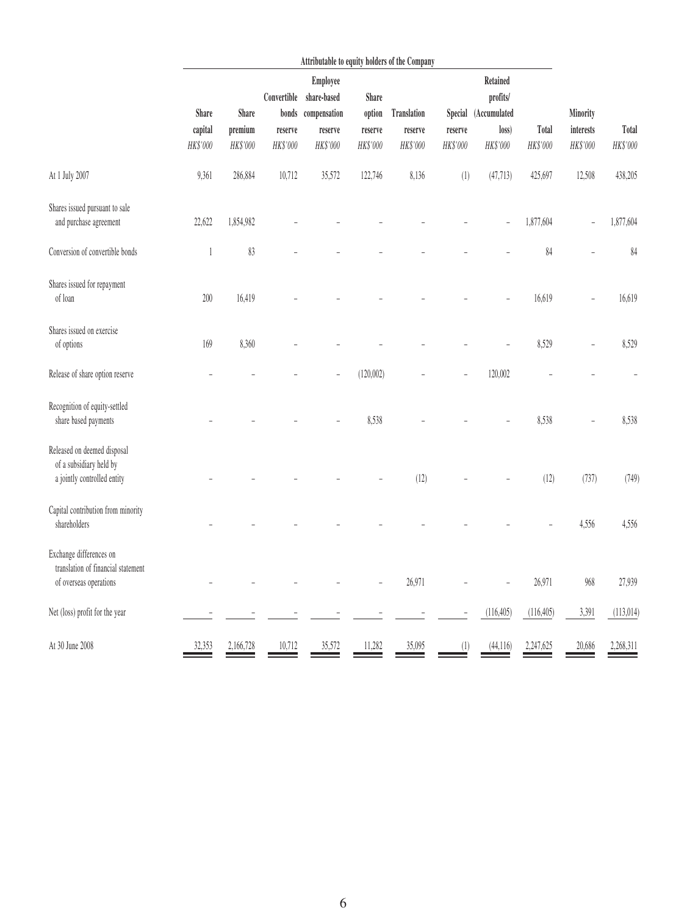|                                                                                         | Attributable to equity holders of the Company |                              |                                    |                                                                      |                                        |                                    |                     |                                                                   |                   |                                   |                   |
|-----------------------------------------------------------------------------------------|-----------------------------------------------|------------------------------|------------------------------------|----------------------------------------------------------------------|----------------------------------------|------------------------------------|---------------------|-------------------------------------------------------------------|-------------------|-----------------------------------|-------------------|
|                                                                                         | <b>Share</b><br>capital<br>HK\$'000           | Share<br>premium<br>HK\$'000 | Convertible<br>reserve<br>HK\$'000 | Employee<br>share-based<br>bonds compensation<br>reserve<br>HK\$'000 | Share<br>option<br>reserve<br>HK\$'000 | Translation<br>reserve<br>HK\$'000 | reserve<br>HK\$'000 | Retained<br>profits/<br>Special (Accumulated<br>loss)<br>HK\$'000 | Total<br>HK\$'000 | Minority<br>interests<br>HK\$'000 | Total<br>HK\$'000 |
| At 1 July 2007                                                                          | 9,361                                         | 286,884                      | 10,712                             | 35,572                                                               | 122,746                                | 8,136                              | (1)                 | (47, 713)                                                         | 425,697           | 12,508                            | 438,205           |
| Shares issued pursuant to sale<br>and purchase agreement                                | 22,622                                        | 1,854,982                    |                                    |                                                                      |                                        |                                    |                     |                                                                   | 1,877,604         |                                   | 1,877,604         |
| Conversion of convertible bonds                                                         | $\mathbf{1}$                                  | 83                           |                                    |                                                                      |                                        |                                    |                     |                                                                   | 84                |                                   | 84                |
| Shares issued for repayment<br>of loan                                                  | $200\,$                                       | 16,419                       |                                    |                                                                      |                                        |                                    |                     |                                                                   | 16,619            |                                   | 16,619            |
| Shares issued on exercise<br>of options                                                 | 169                                           | 8,360                        |                                    |                                                                      |                                        |                                    |                     |                                                                   | 8,529             |                                   | 8,529             |
| Release of share option reserve                                                         |                                               |                              |                                    |                                                                      | (120,002)                              |                                    |                     | 120,002                                                           |                   |                                   |                   |
| Recognition of equity-settled<br>share based payments                                   |                                               |                              |                                    |                                                                      | 8,538                                  |                                    |                     |                                                                   | 8,538             |                                   | 8,538             |
| Released on deemed disposal<br>of a subsidiary held by<br>a jointly controlled entity   |                                               |                              |                                    |                                                                      |                                        | (12)                               |                     |                                                                   | (12)              | (737)                             | (749)             |
| Capital contribution from minority<br>shareholders                                      |                                               |                              |                                    |                                                                      |                                        |                                    |                     |                                                                   |                   | 4,556                             | 4,556             |
| Exchange differences on<br>translation of financial statement<br>of overseas operations |                                               |                              |                                    |                                                                      |                                        | 26,971                             |                     |                                                                   | 26,971            | 968                               | 27,939            |
| Net (loss) profit for the year                                                          |                                               |                              |                                    |                                                                      |                                        |                                    |                     | (116, 405)                                                        | (116, 405)        | 3,391                             | (113, 014)        |
| At 30 June 2008                                                                         | 32,353                                        | 2,166,728                    | 10,712                             | 35,572                                                               | 11,282                                 | 35,095                             | (1)                 | (44,116)                                                          | 2,247,625         | 20,686                            | 2,268,311         |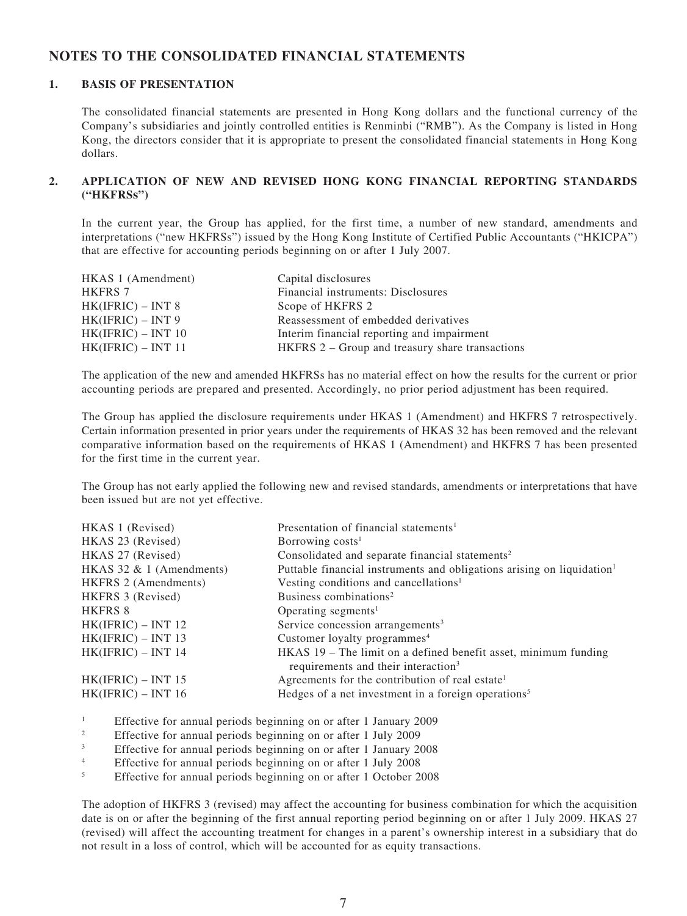#### **NOTES TO THE consolidated FINANCIAL STATEMENTS**

#### **1. BASIS OF PRESENTATION**

The consolidated financial statements are presented in Hong Kong dollars and the functional currency of the Company's subsidiaries and jointly controlled entities is Renminbi ("RMB"). As the Company is listed in Hong Kong, the directors consider that it is appropriate to present the consolidated financial statements in Hong Kong dollars.

#### **2. APPLICATION OF NEW AND REVISED HONG KONG FINANCIAL REPORTING STANDARDS ("HKFRSs")**

In the current year, the Group has applied, for the first time, a number of new standard, amendments and interpretations ("new HKFRSs") issued by the Hong Kong Institute of Certified Public Accountants ("HKICPA") that are effective for accounting periods beginning on or after 1 July 2007.

| HKAS 1 (Amendment)   | Capital disclosures                             |
|----------------------|-------------------------------------------------|
| <b>HKFRS 7</b>       | Financial instruments: Disclosures              |
| $HK(IFRIC) - INT 8$  | Scope of HKFRS 2                                |
| $HK(IFRIC) - INT 9$  | Reassessment of embedded derivatives            |
| $HK(IFRIC) - INT 10$ | Interim financial reporting and impairment      |
| $HK(IFRIC) - INT 11$ | HKFRS 2 – Group and treasury share transactions |

The application of the new and amended HKFRSs has no material effect on how the results for the current or prior accounting periods are prepared and presented. Accordingly, no prior period adjustment has been required.

The Group has applied the disclosure requirements under HKAS 1 (Amendment) and HKFRS 7 retrospectively. Certain information presented in prior years under the requirements of HKAS 32 has been removed and the relevant comparative information based on the requirements of HKAS 1 (Amendment) and HKFRS 7 has been presented for the first time in the current year.

The Group has not early applied the following new and revised standards, amendments or interpretations that have been issued but are not yet effective.

| HKAS 1 (Revised)           | Presentation of financial statements <sup>1</sup>                                                                  |
|----------------------------|--------------------------------------------------------------------------------------------------------------------|
| HKAS 23 (Revised)          | Borrowing costs <sup>1</sup>                                                                                       |
| HKAS 27 (Revised)          | Consolidated and separate financial statements <sup>2</sup>                                                        |
| HKAS 32 $& 1$ (Amendments) | Puttable financial instruments and obligations arising on liquidation <sup>1</sup>                                 |
| HKFRS 2 (Amendments)       | Vesting conditions and cancellations <sup>1</sup>                                                                  |
| HKFRS 3 (Revised)          | Business combinations <sup>2</sup>                                                                                 |
| HKFRS 8                    | Operating segments <sup>1</sup>                                                                                    |
| $HK(IFRIC) - INT 12$       | Service concession arrangements <sup>3</sup>                                                                       |
| $HK(IFRIC) - INT 13$       | Customer loyalty programmes <sup>4</sup>                                                                           |
| $HK(IFRIC) - INT 14$       | HKAS 19 – The limit on a defined benefit asset, minimum funding<br>requirements and their interaction <sup>3</sup> |
| $HK(IFRIC) - INT 15$       | Agreements for the contribution of real estate <sup>1</sup>                                                        |
| $HK(IFRIC) - INT 16$       | Hedges of a net investment in a foreign operations <sup>5</sup>                                                    |

<sup>1</sup> Effective for annual periods beginning on or after 1 January 2009<br>Effective for annual periods beginning on or after 1 July 2000

<sup>2</sup> Effective for annual periods beginning on or after 1 July 2009

<sup>3</sup> Effective for annual periods beginning on or after 1 January 2008<br> $\frac{4}{1}$ 

<sup>4</sup> Effective for annual periods beginning on or after 1 July 2008

<sup>5</sup> Effective for annual periods beginning on or after 1 October 2008

The adoption of HKFRS 3 (revised) may affect the accounting for business combination for which the acquisition date is on or after the beginning of the first annual reporting period beginning on or after 1 July 2009. HKAS 27 (revised) will affect the accounting treatment for changes in a parent's ownership interest in a subsidiary that do not result in a loss of control, which will be accounted for as equity transactions.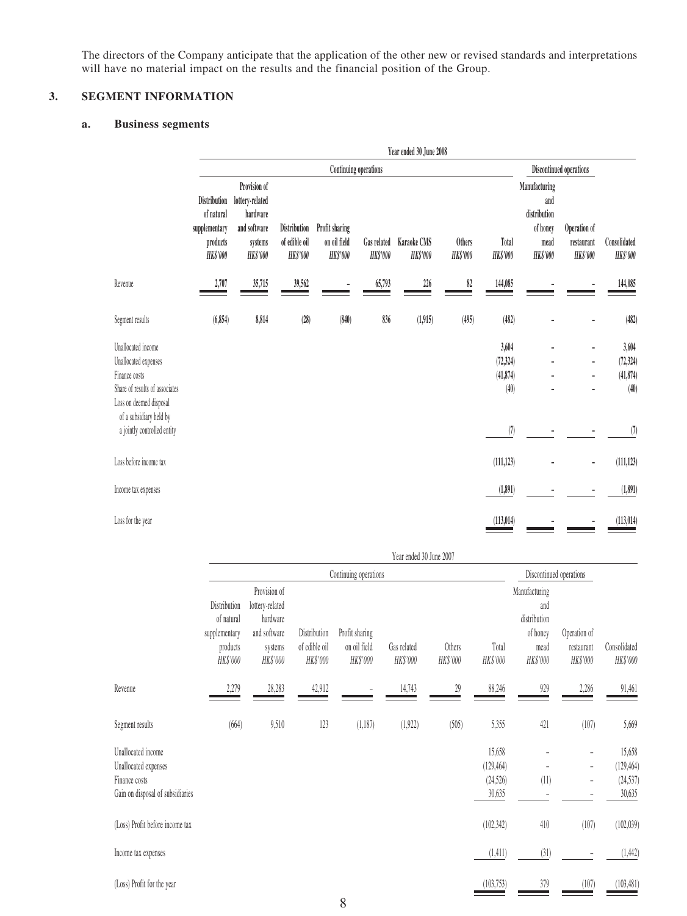The directors of the Company anticipate that the application of the other new or revised standards and interpretations will have no material impact on the results and the financial position of the Group.

#### **3. SEGMENT INFORMATION**

#### **a. Business segments**

|                                                                                                                          |                                                                            |                                                                                           |                                                  |                                                   |                                | Year ended 30 June 2008 |                                  |                                         |                                                                             |                                               |                                         |
|--------------------------------------------------------------------------------------------------------------------------|----------------------------------------------------------------------------|-------------------------------------------------------------------------------------------|--------------------------------------------------|---------------------------------------------------|--------------------------------|-------------------------|----------------------------------|-----------------------------------------|-----------------------------------------------------------------------------|-----------------------------------------------|-----------------------------------------|
|                                                                                                                          |                                                                            |                                                                                           |                                                  |                                                   | Continuing operations          |                         |                                  |                                         |                                                                             | Discontinued operations                       |                                         |
|                                                                                                                          | Distribution<br>of natural<br>supplementary<br>products<br><b>HK\$'000</b> | Provision of<br>lottery-related<br>hardware<br>and software<br>systems<br><b>HK\$'000</b> | Distribution<br>of edible oil<br><b>HK\$'000</b> | Profit sharing<br>on oil field<br><b>HK\$'000</b> | Gas related<br><b>HK\$'000</b> | Karaoke CMS<br>HK\$'000 | <b>Others</b><br><b>HK\$'000</b> | Total<br><b>HK\$'000</b>                | Manufacturing<br>and<br>distribution<br>of honey<br>mead<br><b>HK\$'000</b> | Operation of<br>restaurant<br><b>HK\$'000</b> | Consolidated<br><b>HK\$'000</b>         |
| Revenue                                                                                                                  | 2,707                                                                      | 35,715                                                                                    | 39,562                                           |                                                   | 65,793                         | $226$                   | 82                               | 144,085                                 |                                                                             |                                               | 144,085                                 |
| Segment results                                                                                                          | (6, 854)                                                                   | 8,814                                                                                     | (28)                                             | (840)                                             | 836                            | (1,915)                 | (495)                            | (482)                                   |                                                                             |                                               | (482)                                   |
| Unallocated income<br>Unallocated expenses<br>Finance costs<br>Share of results of associates<br>Loss on deemed disposal |                                                                            |                                                                                           |                                                  |                                                   |                                |                         |                                  | 3,604<br>(72, 324)<br>(41, 874)<br>(40) |                                                                             | $\overline{a}$<br>-<br>$\overline{a}$         | 3,604<br>(72, 324)<br>(41, 874)<br>(40) |
| of a subsidiary held by<br>a jointly controlled entity                                                                   |                                                                            |                                                                                           |                                                  |                                                   |                                |                         |                                  | (7)                                     |                                                                             |                                               | $\left( 7\right)$                       |
| Loss before income tax                                                                                                   |                                                                            |                                                                                           |                                                  |                                                   |                                |                         |                                  | (111, 123)                              |                                                                             |                                               | (111, 123)                              |
| Income tax expenses                                                                                                      |                                                                            |                                                                                           |                                                  |                                                   |                                |                         |                                  | (1,891)                                 |                                                                             |                                               | (1, 891)                                |
| Loss for the year                                                                                                        |                                                                            |                                                                                           |                                                  |                                                   |                                |                         |                                  | (113, 014)                              |                                                                             |                                               | (113, 014)                              |

|                                                                                                 |                                                                     |                                                                                    |                                           |                                            | Year ended 30 June 2007 |                    |                                             |                                                                      |                                        |                                             |
|-------------------------------------------------------------------------------------------------|---------------------------------------------------------------------|------------------------------------------------------------------------------------|-------------------------------------------|--------------------------------------------|-------------------------|--------------------|---------------------------------------------|----------------------------------------------------------------------|----------------------------------------|---------------------------------------------|
|                                                                                                 |                                                                     |                                                                                    |                                           | Continuing operations                      |                         |                    |                                             |                                                                      | Discontinued operations                |                                             |
|                                                                                                 | Distribution<br>of natural<br>supplementary<br>products<br>HK\$'000 | Provision of<br>lottery-related<br>hardware<br>and software<br>systems<br>HK\$'000 | Distribution<br>of edible oil<br>HK\$'000 | Profit sharing<br>on oil field<br>HK\$'000 | Gas related<br>HK\$'000 | Others<br>HK\$'000 | Total<br>HK\$'000                           | Manufacturing<br>and<br>distribution<br>of honey<br>mead<br>HK\$'000 | Operation of<br>restaurant<br>HK\$'000 | Consolidated<br>HK\$'000                    |
| Revenue                                                                                         | 2,279                                                               | 28,283                                                                             | 42,912                                    |                                            | 14,743                  | 29                 | 88,246                                      | 929                                                                  | 2,286                                  | 91,461                                      |
| Segment results                                                                                 | (664)                                                               | 9,510                                                                              | 123                                       | (1,187)                                    | (1,922)                 | (505)              | 5,355                                       | 421                                                                  | (107)                                  | 5,669                                       |
| Unallocated income<br>Unallocated expenses<br>Finance costs<br>Gain on disposal of subsidiaries |                                                                     |                                                                                    |                                           |                                            |                         |                    | 15,658<br>(129, 464)<br>(24, 526)<br>30,635 | (11)                                                                 | $\overline{a}$                         | 15,658<br>(129, 464)<br>(24, 537)<br>30,635 |
| (Loss) Profit before income tax                                                                 |                                                                     |                                                                                    |                                           |                                            |                         |                    | (102, 342)                                  | 410                                                                  | (107)                                  | (102, 039)                                  |
| Income tax expenses                                                                             |                                                                     |                                                                                    |                                           |                                            |                         |                    | (1, 411)                                    | (31)                                                                 |                                        | (1, 442)                                    |
| (Loss) Profit for the year                                                                      |                                                                     |                                                                                    |                                           |                                            |                         |                    | (103, 753)                                  | 379                                                                  | (107)                                  | (103, 481)                                  |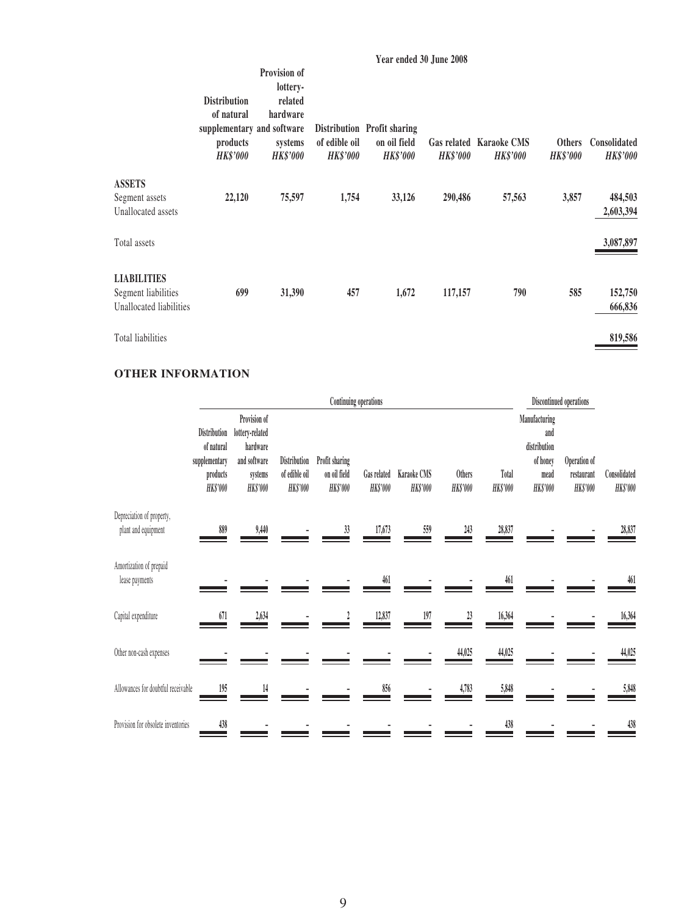|                                                       |                                                                                                | Year ended 30 June 2008                                                       |                                  |                                                                |                 |                                            |                           |                                 |  |  |  |  |  |  |
|-------------------------------------------------------|------------------------------------------------------------------------------------------------|-------------------------------------------------------------------------------|----------------------------------|----------------------------------------------------------------|-----------------|--------------------------------------------|---------------------------|---------------------------------|--|--|--|--|--|--|
|                                                       | <b>Distribution</b><br>of natural<br>supplementary and software<br>products<br><b>HK\$'000</b> | Provision of<br>lottery-<br>related<br>hardware<br>systems<br><b>HK\$'000</b> | of edible oil<br><b>HK\$'000</b> | Distribution Profit sharing<br>on oil field<br><b>HK\$'000</b> | <b>HK\$'000</b> | Gas related Karaoke CMS<br><b>HK\$'000</b> | Others<br><b>HK\$'000</b> | Consolidated<br><b>HK\$'000</b> |  |  |  |  |  |  |
| <b>ASSETS</b><br>Segment assets<br>Unallocated assets | 22,120                                                                                         | 75,597                                                                        | 1,754                            | 33,126                                                         | 290,486         | 57,563                                     | 3,857                     | 484,503<br>2,603,394            |  |  |  |  |  |  |
| Total assets                                          |                                                                                                |                                                                               |                                  |                                                                |                 |                                            |                           | 3,087,897                       |  |  |  |  |  |  |
| <b>LIABILITIES</b>                                    |                                                                                                |                                                                               |                                  |                                                                |                 |                                            |                           |                                 |  |  |  |  |  |  |
| Segment liabilities<br>Unallocated liabilities        | 699                                                                                            | 31,390                                                                        | 457                              | 1,672                                                          | 117,157         | 790                                        | 585                       | 152,750<br>666,836              |  |  |  |  |  |  |
| Total liabilities                                     |                                                                                                |                                                                               |                                  |                                                                |                 |                                            |                           | 819,586                         |  |  |  |  |  |  |

#### **OTHER INFORMATION**

|                                                  |                                                                            |                                                                                           |                                                  |                                                   | Continuing operations          |                                |                                  |                          | Discontinued operations                                                     |                                               |                                 |
|--------------------------------------------------|----------------------------------------------------------------------------|-------------------------------------------------------------------------------------------|--------------------------------------------------|---------------------------------------------------|--------------------------------|--------------------------------|----------------------------------|--------------------------|-----------------------------------------------------------------------------|-----------------------------------------------|---------------------------------|
|                                                  | Distribution<br>of natural<br>supplementary<br>products<br><b>HK\$'000</b> | Provision of<br>lottery-related<br>hardware<br>and software<br>systems<br><b>HK\$'000</b> | Distribution<br>of edible oil<br><b>HK\$'000</b> | Profit sharing<br>on oil field<br><b>HK\$'000</b> | Gas related<br><b>HK\$'000</b> | Karaoke CMS<br><b>HK\$'000</b> | <b>Others</b><br><b>HK\$'000</b> | Total<br><b>HK\$'000</b> | Manufacturing<br>and<br>distribution<br>of honey<br>mead<br><b>HK\$'000</b> | Operation of<br>restaurant<br><b>HK\$'000</b> | Consolidated<br><b>HK\$'000</b> |
| Depreciation of property,<br>plant and equipment | 889                                                                        | 9,440                                                                                     |                                                  | 33                                                | 17,673                         | 559                            | 243                              | 28,837                   |                                                                             |                                               | 28,837                          |
| Amortization of prepaid<br>lease payments        |                                                                            |                                                                                           |                                                  |                                                   | 461                            |                                |                                  | 461                      |                                                                             |                                               | 461                             |
| Capital expenditure                              | 671                                                                        | 2,634                                                                                     |                                                  |                                                   | 12,837                         | 197                            | 23                               | 16,364                   |                                                                             |                                               | 16,364                          |
| Other non-cash expenses                          |                                                                            |                                                                                           |                                                  |                                                   |                                |                                | 44,025                           | 44,025                   |                                                                             |                                               | 44,025                          |
| Allowances for doubtful receivable               | 195                                                                        | 14                                                                                        |                                                  |                                                   | 856                            |                                | 4,783                            | 5,848                    |                                                                             |                                               | 5,848                           |
| Provision for obsolete inventories               | 438                                                                        |                                                                                           |                                                  |                                                   |                                |                                |                                  | 438                      |                                                                             |                                               | 438                             |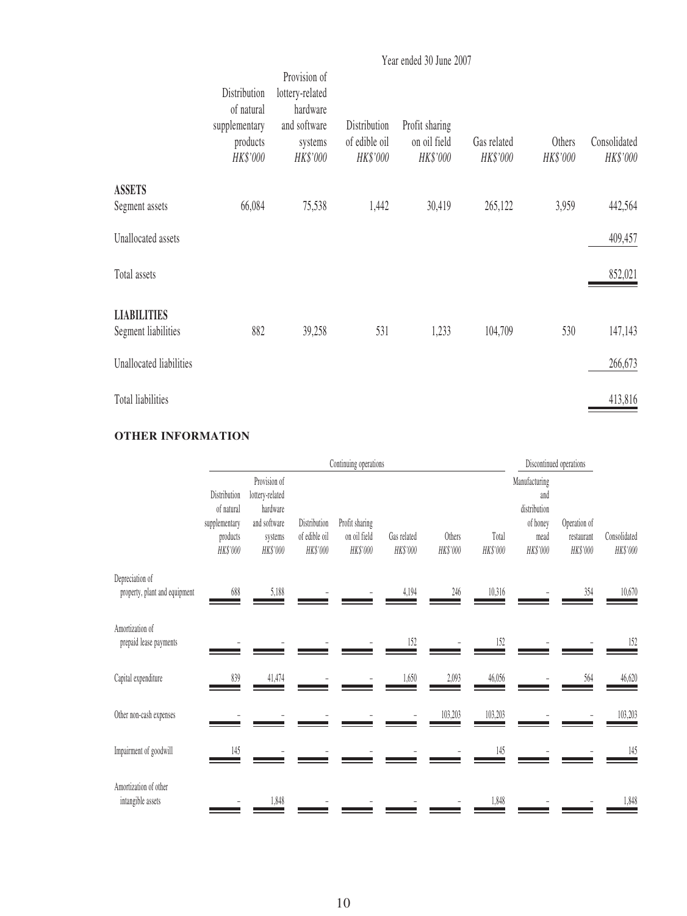|                                                                             |                                                                     |                                                                                    |                                           | Year ended 30 June 2007                    |                         |                    |                          |
|-----------------------------------------------------------------------------|---------------------------------------------------------------------|------------------------------------------------------------------------------------|-------------------------------------------|--------------------------------------------|-------------------------|--------------------|--------------------------|
|                                                                             | Distribution<br>of natural<br>supplementary<br>products<br>HK\$'000 | Provision of<br>lottery-related<br>hardware<br>and software<br>systems<br>HK\$'000 | Distribution<br>of edible oil<br>HK\$'000 | Profit sharing<br>on oil field<br>HK\$'000 | Gas related<br>HK\$'000 | Others<br>HK\$'000 | Consolidated<br>HK\$'000 |
| <b>ASSETS</b><br>Segment assets                                             | 66,084                                                              | 75,538                                                                             | 1,442                                     | 30,419                                     | 265,122                 | 3,959              | 442,564                  |
| Unallocated assets                                                          |                                                                     |                                                                                    |                                           |                                            |                         |                    | 409,457                  |
| Total assets                                                                |                                                                     |                                                                                    |                                           |                                            |                         |                    | 852,021                  |
| <b>LIABILITIES</b><br>Segment liabilities<br><b>Unallocated liabilities</b> | 882                                                                 | 39,258                                                                             | 531                                       | 1,233                                      | 104,709                 | 530                | 147,143<br>266,673       |
| Total liabilities                                                           |                                                                     |                                                                                    |                                           |                                            |                         |                    | 413,816                  |

#### **OTHER INFORMATION**

|                                                  | Continuing operations                                               |                                                                                    |                                           |                                            |                         |                    |                   | Discontinued operations                                              |                                        |                          |
|--------------------------------------------------|---------------------------------------------------------------------|------------------------------------------------------------------------------------|-------------------------------------------|--------------------------------------------|-------------------------|--------------------|-------------------|----------------------------------------------------------------------|----------------------------------------|--------------------------|
|                                                  | Distribution<br>of natural<br>supplementary<br>products<br>HK\$'000 | Provision of<br>lottery-related<br>hardware<br>and software<br>systems<br>HK\$'000 | Distribution<br>of edible oil<br>HK\$'000 | Profit sharing<br>on oil field<br>HK\$'000 | Gas related<br>HK\$'000 | Others<br>HK\$'000 | Total<br>HK\$'000 | Manufacturing<br>and<br>distribution<br>of honey<br>mead<br>HK\$'000 | Operation of<br>restaurant<br>HK\$'000 | Consolidated<br>HK\$'000 |
| Depreciation of<br>property, plant and equipment | 688                                                                 | 5,188                                                                              |                                           |                                            | 4,194                   | 246                | 10,316            |                                                                      | 354                                    | 10,670                   |
| Amortization of<br>prepaid lease payments        |                                                                     |                                                                                    |                                           |                                            | 152                     |                    | 152               |                                                                      |                                        | 152                      |
| Capital expenditure                              | 839                                                                 | 41,474                                                                             |                                           |                                            | 1,650                   | 2,093              | 46,056            |                                                                      | 564                                    | 46,620                   |
| Other non-cash expenses                          |                                                                     |                                                                                    |                                           |                                            |                         | 103,203            | 103,203           |                                                                      |                                        | 103,203                  |
| Impairment of goodwill                           | 145                                                                 |                                                                                    |                                           |                                            |                         |                    | 145               |                                                                      |                                        | 145                      |
| Amortization of other<br>intangible assets       |                                                                     | 1,848                                                                              |                                           |                                            |                         |                    | 1,848             |                                                                      |                                        | 1,848                    |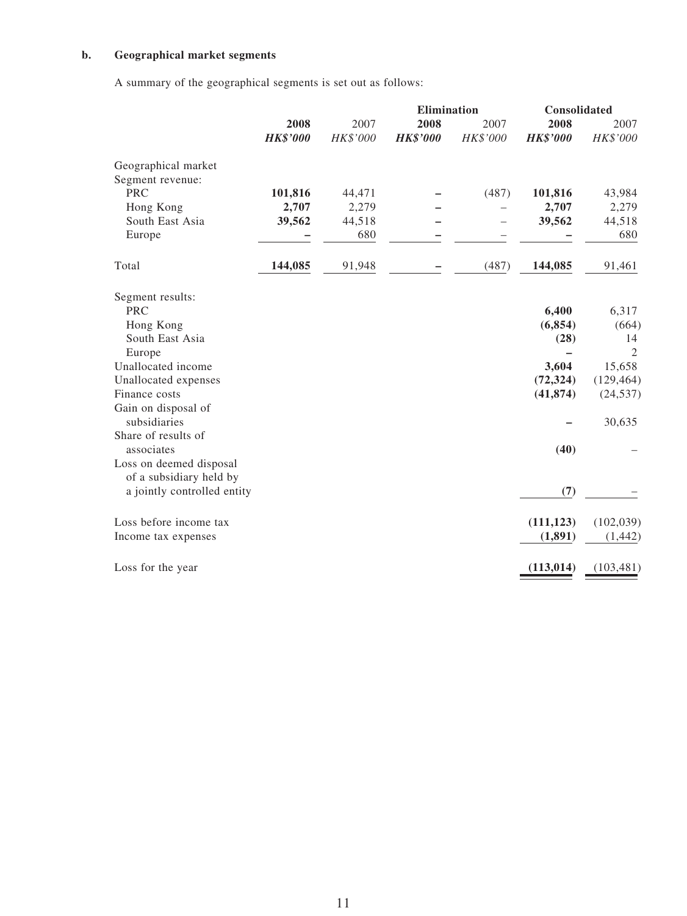## **b. Geographical market segments**

A summary of the geographical segments is set out as follows:

|                                     |                         |                  | Elimination             |                  | Consolidated            |                  |  |
|-------------------------------------|-------------------------|------------------|-------------------------|------------------|-------------------------|------------------|--|
|                                     | 2008<br><b>HK\$'000</b> | 2007<br>HK\$'000 | 2008<br><b>HK\$'000</b> | 2007<br>HK\$'000 | 2008<br><b>HK\$'000</b> | 2007<br>HK\$'000 |  |
| Geographical market                 |                         |                  |                         |                  |                         |                  |  |
| Segment revenue:                    |                         |                  |                         |                  |                         |                  |  |
| <b>PRC</b>                          | 101,816                 | 44,471           |                         | (487)            | 101,816                 | 43,984           |  |
| Hong Kong                           | 2,707                   | 2,279            |                         |                  | 2,707                   | 2,279            |  |
| South East Asia                     | 39,562                  | 44,518           |                         |                  | 39,562                  | 44,518           |  |
| Europe                              |                         | 680              |                         |                  |                         | 680              |  |
| Total                               | 144,085                 | 91,948           |                         | (487)            | 144,085                 | 91,461           |  |
| Segment results:                    |                         |                  |                         |                  |                         |                  |  |
| <b>PRC</b>                          |                         |                  |                         |                  | 6,400                   | 6,317            |  |
| Hong Kong                           |                         |                  |                         |                  | (6, 854)                | (664)            |  |
| South East Asia                     |                         |                  |                         |                  | (28)                    | 14               |  |
| Europe                              |                         |                  |                         |                  |                         | $\overline{2}$   |  |
| Unallocated income                  |                         |                  |                         |                  | 3,604                   | 15,658           |  |
| Unallocated expenses                |                         |                  |                         |                  | (72, 324)               | (129, 464)       |  |
| Finance costs                       |                         |                  |                         |                  | (41, 874)               | (24, 537)        |  |
| Gain on disposal of<br>subsidiaries |                         |                  |                         |                  |                         | 30,635           |  |
| Share of results of                 |                         |                  |                         |                  |                         |                  |  |
| associates                          |                         |                  |                         |                  | (40)                    |                  |  |
| Loss on deemed disposal             |                         |                  |                         |                  |                         |                  |  |
| of a subsidiary held by             |                         |                  |                         |                  |                         |                  |  |
| a jointly controlled entity         |                         |                  |                         |                  | (7)                     |                  |  |
| Loss before income tax              |                         |                  |                         |                  | (111, 123)              | (102, 039)       |  |
| Income tax expenses                 |                         |                  |                         |                  | (1, 891)                | (1, 442)         |  |
|                                     |                         |                  |                         |                  |                         |                  |  |
| Loss for the year                   |                         |                  |                         |                  | (113, 014)              | (103, 481)       |  |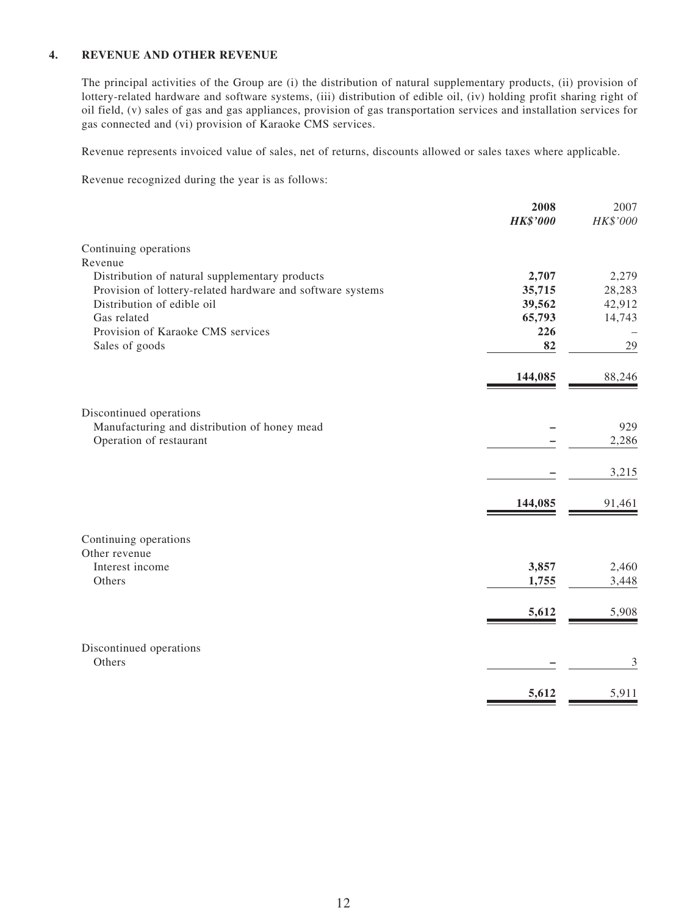#### **4. REVENUE AND OTHER REVENUE**

The principal activities of the Group are (i) the distribution of natural supplementary products, (ii) provision of lottery-related hardware and software systems, (iii) distribution of edible oil, (iv) holding profit sharing right of oil field, (v) sales of gas and gas appliances, provision of gas transportation services and installation services for gas connected and (vi) provision of Karaoke CMS services.

Revenue represents invoiced value of sales, net of returns, discounts allowed or sales taxes where applicable.

Revenue recognized during the year is as follows:

|                                                            | 2008            | 2007     |
|------------------------------------------------------------|-----------------|----------|
|                                                            | <b>HK\$'000</b> | HK\$'000 |
| Continuing operations                                      |                 |          |
| Revenue                                                    |                 |          |
| Distribution of natural supplementary products             | 2,707           | 2,279    |
| Provision of lottery-related hardware and software systems | 35,715          | 28,283   |
| Distribution of edible oil                                 | 39,562          | 42,912   |
| Gas related                                                | 65,793          | 14,743   |
| Provision of Karaoke CMS services                          | 226             |          |
| Sales of goods                                             | 82              | 29       |
|                                                            | 144,085         | 88,246   |
|                                                            |                 |          |
| Discontinued operations                                    |                 |          |
| Manufacturing and distribution of honey mead               |                 | 929      |
| Operation of restaurant                                    |                 | 2,286    |
|                                                            |                 | 3,215    |
|                                                            | 144,085         | 91,461   |
|                                                            |                 |          |
| Continuing operations                                      |                 |          |
| Other revenue<br>Interest income                           | 3,857           | 2,460    |
| Others                                                     | 1,755           | 3,448    |
|                                                            |                 |          |
|                                                            | 5,612           | 5,908    |
|                                                            |                 |          |
| Discontinued operations                                    |                 |          |
| Others                                                     |                 | 3        |
|                                                            | 5,612           | 5,911    |
|                                                            |                 |          |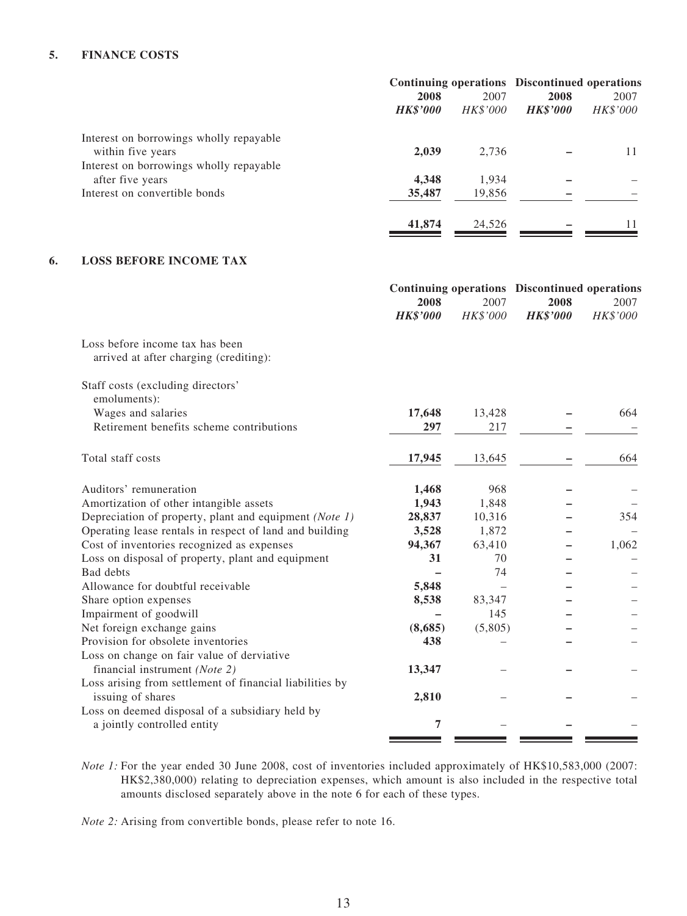#### **5. FINANCE COSTS**

|                                         |                 |                 | Continuing operations Discontinued operations |          |  |
|-----------------------------------------|-----------------|-----------------|-----------------------------------------------|----------|--|
|                                         | 2008            | 2007            | 2008                                          | 2007     |  |
|                                         | <b>HK\$'000</b> | <i>HK\$'000</i> | <b>HK\$'000</b>                               | HK\$'000 |  |
| Interest on borrowings wholly repayable |                 |                 |                                               |          |  |
| within five years                       | 2,039           | 2,736           |                                               | 11       |  |
| Interest on borrowings wholly repayable |                 |                 |                                               |          |  |
| after five years                        | 4,348           | 1,934           |                                               |          |  |
| Interest on convertible bonds           | 35,487          | 19,856          |                                               |          |  |
|                                         | 41,874          | 24,526          |                                               | 11       |  |
|                                         |                 |                 |                                               |          |  |

#### **6. LOSS BEFORE INCOME TAX**

|                                                                           |                 | Continuing operations Discontinued operations |                 |          |
|---------------------------------------------------------------------------|-----------------|-----------------------------------------------|-----------------|----------|
|                                                                           | 2008            | 2007                                          | 2008            | 2007     |
|                                                                           | <b>HK\$'000</b> | HK\$'000                                      | <b>HK\$'000</b> | HK\$'000 |
| Loss before income tax has been<br>arrived at after charging (crediting): |                 |                                               |                 |          |
| Staff costs (excluding directors'                                         |                 |                                               |                 |          |
| emoluments):                                                              |                 |                                               |                 |          |
| Wages and salaries                                                        | 17,648          | 13,428                                        |                 | 664      |
| Retirement benefits scheme contributions                                  | 297             | 217                                           |                 |          |
| Total staff costs                                                         | 17,945          | 13,645                                        |                 | 664      |
| Auditors' remuneration                                                    | 1,468           | 968                                           |                 |          |
| Amortization of other intangible assets                                   | 1,943           | 1,848                                         |                 |          |
| Depreciation of property, plant and equipment (Note 1)                    | 28,837          | 10,316                                        |                 | 354      |
| Operating lease rentals in respect of land and building                   | 3,528           | 1,872                                         |                 |          |
| Cost of inventories recognized as expenses                                | 94,367          | 63,410                                        |                 | 1,062    |
| Loss on disposal of property, plant and equipment                         | 31              | 70                                            |                 |          |
| Bad debts                                                                 |                 | 74                                            |                 |          |
| Allowance for doubtful receivable                                         | 5,848           |                                               |                 |          |
| Share option expenses                                                     | 8,538           | 83,347                                        |                 |          |
| Impairment of goodwill                                                    |                 | 145                                           |                 |          |
| Net foreign exchange gains                                                | (8,685)         | (5,805)                                       |                 |          |
| Provision for obsolete inventories                                        | 438             |                                               |                 |          |
| Loss on change on fair value of derviative                                |                 |                                               |                 |          |
| financial instrument (Note 2)                                             | 13,347          |                                               |                 |          |
| Loss arising from settlement of financial liabilities by                  |                 |                                               |                 |          |
| issuing of shares                                                         | 2,810           |                                               |                 |          |
| Loss on deemed disposal of a subsidiary held by                           |                 |                                               |                 |          |
| a jointly controlled entity                                               | 7               |                                               |                 |          |
|                                                                           |                 |                                               |                 |          |

*Note 1:* For the year ended 30 June 2008, cost of inventories included approximately of HK\$10,583,000 (2007: HK\$2,380,000) relating to depreciation expenses, which amount is also included in the respective total amounts disclosed separately above in the note 6 for each of these types.

*Note 2:* Arising from convertible bonds, please refer to note 16.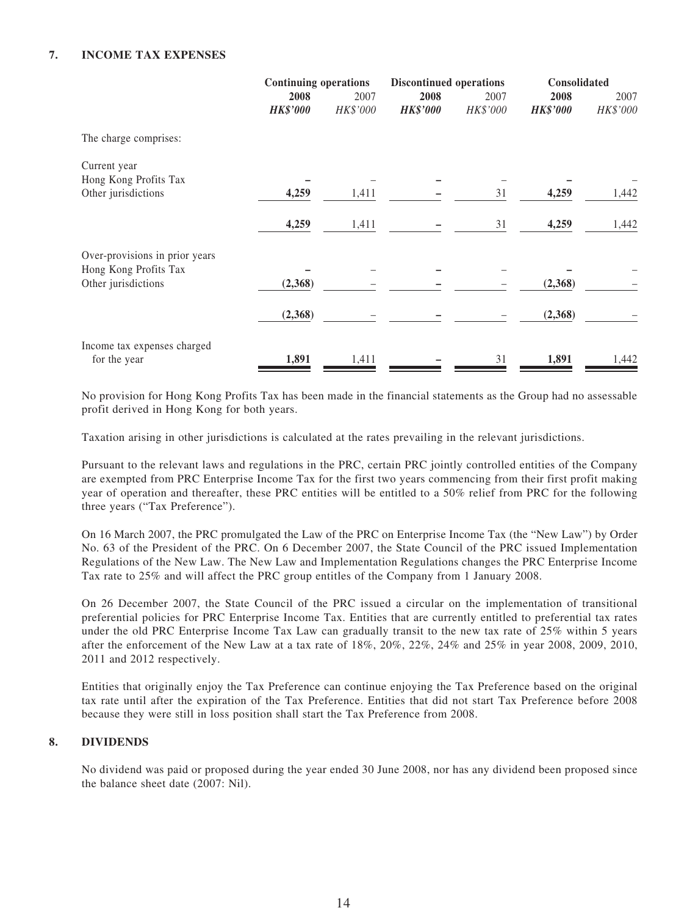#### **7. INCOME TAX EXPENSES**

|                                | <b>Continuing operations</b> |                  | <b>Discontinued operations</b> |                  | Consolidated            |                  |
|--------------------------------|------------------------------|------------------|--------------------------------|------------------|-------------------------|------------------|
|                                | 2008<br><b>HK\$'000</b>      | 2007<br>HK\$'000 | 2008<br><b>HK\$'000</b>        | 2007<br>HK\$'000 | 2008<br><b>HK\$'000</b> | 2007<br>HK\$'000 |
| The charge comprises:          |                              |                  |                                |                  |                         |                  |
| Current year                   |                              |                  |                                |                  |                         |                  |
| Hong Kong Profits Tax          |                              |                  |                                |                  |                         |                  |
| Other jurisdictions            | 4,259                        | 1,411            |                                | 31               | 4,259                   | 1,442            |
|                                | 4,259                        | 1,411            |                                | 31               | 4,259                   | 1,442            |
| Over-provisions in prior years |                              |                  |                                |                  |                         |                  |
| Hong Kong Profits Tax          |                              |                  |                                |                  |                         |                  |
| Other jurisdictions            | (2,368)                      |                  |                                |                  | (2,368)                 |                  |
|                                | (2,368)                      |                  |                                |                  | (2,368)                 |                  |
| Income tax expenses charged    |                              |                  |                                |                  |                         |                  |
| for the year                   | 1,891                        | 1,411            |                                | 31               | 1,891                   | 1,442            |

No provision for Hong Kong Profits Tax has been made in the financial statements as the Group had no assessable profit derived in Hong Kong for both years.

Taxation arising in other jurisdictions is calculated at the rates prevailing in the relevant jurisdictions.

Pursuant to the relevant laws and regulations in the PRC, certain PRC jointly controlled entities of the Company are exempted from PRC Enterprise Income Tax for the first two years commencing from their first profit making year of operation and thereafter, these PRC entities will be entitled to a 50% relief from PRC for the following three years ("Tax Preference").

On 16 March 2007, the PRC promulgated the Law of the PRC on Enterprise Income Tax (the "New Law") by Order No. 63 of the President of the PRC. On 6 December 2007, the State Council of the PRC issued Implementation Regulations of the New Law. The New Law and Implementation Regulations changes the PRC Enterprise Income Tax rate to 25% and will affect the PRC group entitles of the Company from 1 January 2008.

On 26 December 2007, the State Council of the PRC issued a circular on the implementation of transitional preferential policies for PRC Enterprise Income Tax. Entities that are currently entitled to preferential tax rates under the old PRC Enterprise Income Tax Law can gradually transit to the new tax rate of 25% within 5 years after the enforcement of the New Law at a tax rate of 18%, 20%, 22%, 24% and 25% in year 2008, 2009, 2010, 2011 and 2012 respectively.

Entities that originally enjoy the Tax Preference can continue enjoying the Tax Preference based on the original tax rate until after the expiration of the Tax Preference. Entities that did not start Tax Preference before 2008 because they were still in loss position shall start the Tax Preference from 2008.

#### **8. DIVIDENDS**

No dividend was paid or proposed during the year ended 30 June 2008, nor has any dividend been proposed since the balance sheet date (2007: Nil).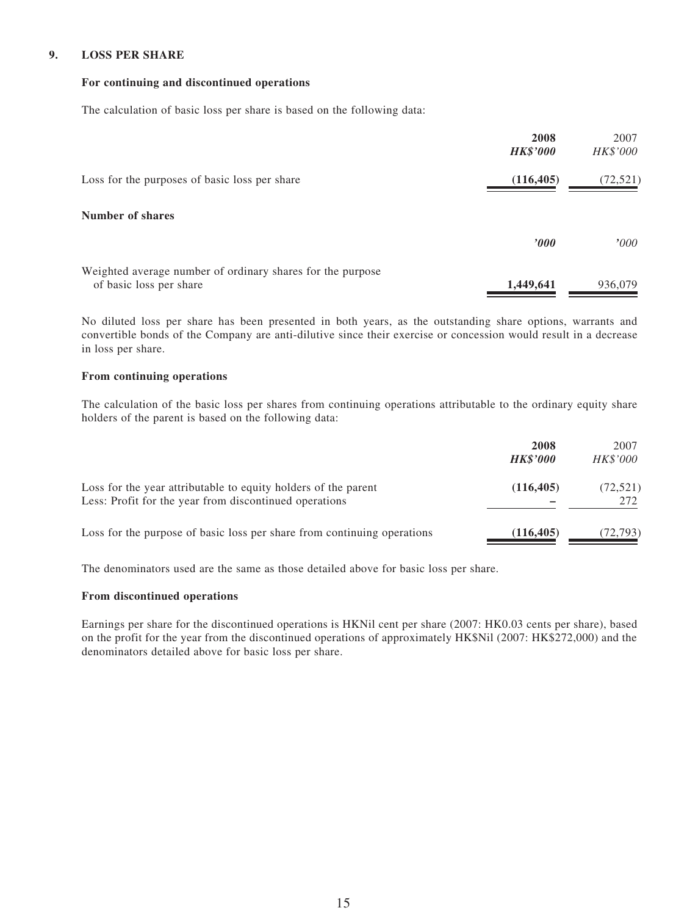#### **9. LOSS PER SHARE**

#### **For continuing and discontinued operations**

The calculation of basic loss per share is based on the following data:

|                                                                                       | 2008<br><b>HK\$'000</b> | 2007<br>HK\$'000 |
|---------------------------------------------------------------------------------------|-------------------------|------------------|
| Loss for the purposes of basic loss per share                                         | (116, 405)              | (72, 521)        |
| Number of shares                                                                      |                         |                  |
|                                                                                       | '000                    | '000'            |
| Weighted average number of ordinary shares for the purpose<br>of basic loss per share | 1,449,641               | 936,079          |

No diluted loss per share has been presented in both years, as the outstanding share options, warrants and convertible bonds of the Company are anti-dilutive since their exercise or concession would result in a decrease in loss per share.

#### **From continuing operations**

The calculation of the basic loss per shares from continuing operations attributable to the ordinary equity share holders of the parent is based on the following data:

|                                                                                                                          | 2008<br><b>HK\$'000</b> | 2007<br><i>HK\$'000</i> |
|--------------------------------------------------------------------------------------------------------------------------|-------------------------|-------------------------|
| Loss for the year attributable to equity holders of the parent<br>Less: Profit for the year from discontinued operations | (116, 405)              | (72, 521)<br>272        |
| Loss for the purpose of basic loss per share from continuing operations                                                  | (116, 405)              | (72,793)                |

The denominators used are the same as those detailed above for basic loss per share.

#### **From discontinued operations**

Earnings per share for the discontinued operations is HKNil cent per share (2007: HK0.03 cents per share), based on the profit for the year from the discontinued operations of approximately HK\$Nil (2007: HK\$272,000) and the denominators detailed above for basic loss per share.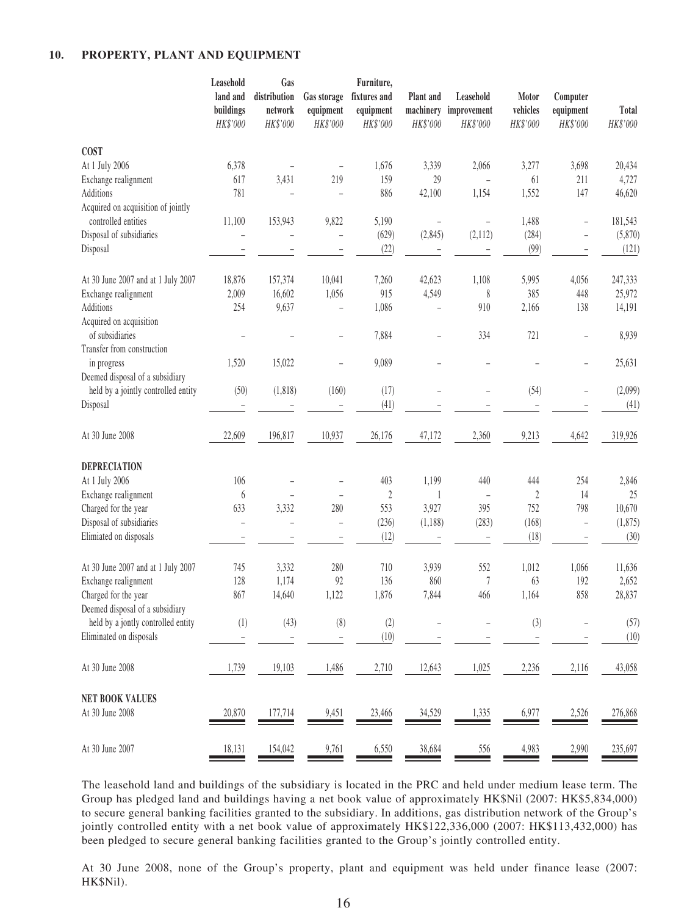#### **10. PROPERTY, PLANT AND EQUIPMENT**

|                                                                          | Leasehold<br>Gas<br>Furniture,    |                                     |                                      |                                       |                          |                                                |                               |                                   |                   |
|--------------------------------------------------------------------------|-----------------------------------|-------------------------------------|--------------------------------------|---------------------------------------|--------------------------|------------------------------------------------|-------------------------------|-----------------------------------|-------------------|
|                                                                          | land and<br>buildings<br>HK\$'000 | distribution<br>network<br>HK\$'000 | Gas storage<br>equipment<br>HK\$'000 | fixtures and<br>equipment<br>HK\$'000 | Plant and<br>HK\$'000    | Leasehold<br>machinery improvement<br>HK\$'000 | Motor<br>vehicles<br>HK\$'000 | Computer<br>equipment<br>HK\$'000 | Total<br>HK\$'000 |
| <b>COST</b>                                                              |                                   |                                     |                                      |                                       |                          |                                                |                               |                                   |                   |
| At 1 July 2006                                                           | 6,378                             |                                     |                                      | 1,676                                 | 3,339                    | 2,066                                          | 3,277                         | 3,698                             | 20,434            |
| Exchange realignment                                                     | 617                               | 3,431                               | 219                                  | 159                                   | 29                       | $\qquad \qquad -$                              | 61                            | 211                               | 4,727             |
| Additions                                                                | 781                               |                                     | ÷,                                   | 886                                   | 42,100                   | 1,154                                          | 1,552                         | 147                               | 46,620            |
| Acquired on acquisition of jointly                                       |                                   |                                     |                                      |                                       |                          |                                                |                               |                                   |                   |
| controlled entities                                                      | 11,100                            | 153,943                             | 9,822                                | 5,190                                 | $\overline{\phantom{a}}$ | $\qquad \qquad -$                              | 1,488                         | $\qquad \qquad -$                 | 181,543           |
| Disposal of subsidiaries                                                 |                                   |                                     | $\overline{a}$                       | (629)                                 | (2, 845)                 | (2,112)                                        | (284)                         | ÷,                                | (5,870)           |
| Disposal                                                                 |                                   |                                     |                                      | (22)                                  |                          |                                                | (99)                          |                                   | (121)             |
| At 30 June 2007 and at 1 July 2007                                       | 18,876                            | 157,374                             | 10,041                               | 7,260                                 | 42,623                   | 1,108                                          | 5,995                         | 4,056                             | 247,333           |
| Exchange realignment                                                     | 2,009                             | 16,602                              | 1,056                                | 915                                   | 4,549                    | $\,$ $\,$                                      | 385                           | 448                               | 25,972            |
| Additions                                                                | 254                               | 9,637                               | $\overline{\phantom{0}}$             | 1,086                                 | $\overline{\phantom{a}}$ | 910                                            | 2,166                         | 138                               | 14,191            |
| Acquired on acquisition<br>of subsidiaries<br>Transfer from construction |                                   |                                     | $\qquad \qquad -$                    | 7,884                                 | $\qquad \qquad -$        | 334                                            | 721                           | $\overline{\phantom{a}}$          | 8,939             |
| in progress<br>Deemed disposal of a subsidiary                           | 1,520                             | 15,022                              |                                      | 9,089                                 |                          |                                                |                               | $\overline{a}$                    | 25,631            |
| held by a jointly controlled entity                                      | (50)                              | (1, 818)                            | (160)                                | (17)                                  | L,                       |                                                | (54)                          | $\qquad \qquad -$                 | (2,099)           |
| Disposal                                                                 |                                   |                                     |                                      | (41)                                  |                          |                                                |                               |                                   | (41)              |
| At 30 June 2008                                                          | 22,609                            | 196,817                             | 10,937                               | 26,176                                | 47,172                   | 2,360                                          | 9,213                         | 4,642                             | 319,926           |
| <b>DEPRECIATION</b>                                                      |                                   |                                     |                                      |                                       |                          |                                                |                               |                                   |                   |
| At 1 July 2006                                                           | 106                               |                                     |                                      | 403                                   | 1,199                    | 440                                            | 444                           | 254                               | 2,846             |
| Exchange realignment                                                     | 6                                 |                                     | ÷                                    | $\overline{c}$                        | $\mathbf{1}$             | $\qquad \qquad -$                              | 2                             | 14                                | 25                |
| Charged for the year                                                     | 633                               | 3,332                               | 280                                  | 553                                   | 3,927                    | 395                                            | 752                           | 798                               | 10,670            |
| Disposal of subsidiaries                                                 | $\overline{a}$                    | L                                   | $\overline{a}$                       | (236)                                 | (1, 188)                 | (283)                                          | (168)                         | $\bar{ }$                         | (1, 875)          |
| Elimiated on disposals                                                   |                                   |                                     |                                      | (12)                                  | $\overline{\phantom{0}}$ |                                                | (18)                          |                                   | (30)              |
| At 30 June 2007 and at 1 July 2007                                       | 745                               | 3,332                               | 280                                  | 710                                   | 3,939                    | 552                                            | 1,012                         | 1,066                             | 11,636            |
| Exchange realignment                                                     | 128                               | 1,174                               | 92                                   | 136                                   | 860                      | 7                                              | 63                            | 192                               | 2,652             |
| Charged for the year                                                     | 867                               | 14,640                              | 1,122                                | 1,876                                 | 7,844                    | 466                                            | 1,164                         | 858                               | 28,837            |
| Deemed disposal of a subsidiary                                          |                                   |                                     |                                      |                                       |                          |                                                |                               |                                   |                   |
| held by a jontly controlled entity                                       | (1)                               | (43)                                | (8)                                  | (2)                                   |                          |                                                | (3)                           |                                   | (57)              |
| Eliminated on disposals                                                  |                                   |                                     |                                      | (10)                                  |                          |                                                |                               |                                   | (10)              |
| At 30 June 2008                                                          | 1,739                             | 19,103                              | 1,486                                | 2,710                                 | 12,643                   | 1,025                                          | 2,236                         | 2,116                             | 43,058            |
| <b>NET BOOK VALUES</b>                                                   |                                   |                                     |                                      |                                       |                          |                                                |                               |                                   |                   |
| At 30 June 2008                                                          | 20,870                            | 177,714                             | 9,451                                | 23,466                                | 34,529                   | 1,335                                          | 6,977                         | 2,526                             | 276,868           |
| At 30 June 2007                                                          | 18,131                            | 154,042                             | 9,761                                | 6,550                                 | 38,684                   | 556                                            | 4,983                         | 2,990                             | 235,697           |

The leasehold land and buildings of the subsidiary is located in the PRC and held under medium lease term. The Group has pledged land and buildings having a net book value of approximately HK\$Nil (2007: HK\$5,834,000) to secure general banking facilities granted to the subsidiary. In additions, gas distribution network of the Group's jointly controlled entity with a net book value of approximately HK\$122,336,000 (2007: HK\$113,432,000) has been pledged to secure general banking facilities granted to the Group's jointly controlled entity.

At 30 June 2008, none of the Group's property, plant and equipment was held under finance lease (2007: HK\$Nil).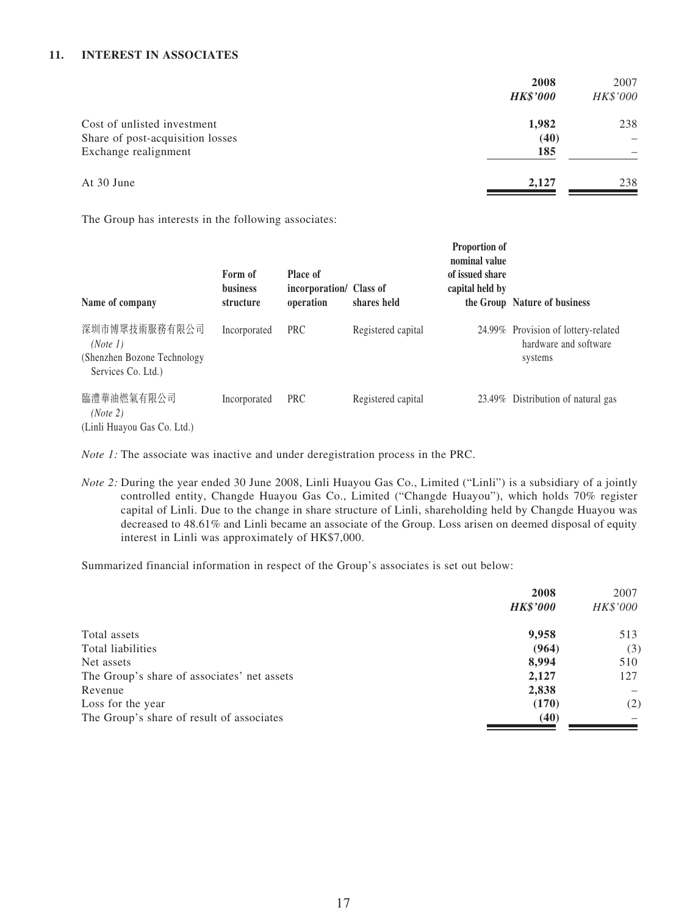#### **11. INTEREST IN ASSOCIATES**

|                                  | 2008<br><b>HK\$'000</b> | 2007<br>HK\$'000         |
|----------------------------------|-------------------------|--------------------------|
| Cost of unlisted investment      | 1,982                   | 238                      |
| Share of post-acquisition losses | (40)                    | $\overline{\phantom{0}}$ |
| Exchange realignment             | 185                     |                          |
| At 30 June                       | 2,127                   | 238                      |

The Group has interests in the following associates:

| Name of company                                                                 | Form of<br><b>business</b><br>structure | <b>Place of</b><br>incorporation/ Class of<br>operation | shares held        | <b>Proportion of</b><br>nominal value<br>of issued share<br>capital held by | the Group Nature of business                                            |
|---------------------------------------------------------------------------------|-----------------------------------------|---------------------------------------------------------|--------------------|-----------------------------------------------------------------------------|-------------------------------------------------------------------------|
| 深圳市博眾技術服務有限公司<br>(Note 1)<br>(Shenzhen Bozone Technology)<br>Services Co. Ltd.) | Incorporated                            | <b>PRC</b>                                              | Registered capital |                                                                             | 24.99% Provision of lottery-related<br>hardware and software<br>systems |
| 臨澧華油燃氣有限公司<br>(Note 2)<br>(Linli Huayou Gas Co. Ltd.)                           | Incorporated                            | <b>PRC</b>                                              | Registered capital |                                                                             | 23.49% Distribution of natural gas                                      |

*Note 1:* The associate was inactive and under deregistration process in the PRC.

*Note 2:* During the year ended 30 June 2008, Linli Huayou Gas Co., Limited ("Linli") is a subsidiary of a jointly controlled entity, Changde Huayou Gas Co., Limited ("Changde Huayou"), which holds 70% register capital of Linli. Due to the change in share structure of Linli, shareholding held by Changde Huayou was decreased to 48.61% and Linli became an associate of the Group. Loss arisen on deemed disposal of equity interest in Linli was approximately of HK\$7,000.

Summarized financial information in respect of the Group's associates is set out below:

|                                             | 2008            | 2007     |
|---------------------------------------------|-----------------|----------|
|                                             | <b>HK\$'000</b> | HK\$'000 |
| Total assets                                | 9,958           | 513      |
| Total liabilities                           | (964)           | (3)      |
| Net assets                                  | 8,994           | 510      |
| The Group's share of associates' net assets | 2,127           | 127      |
| Revenue                                     | 2,838           |          |
| Loss for the year                           | (170)           | (2)      |
| The Group's share of result of associates   | (40)            |          |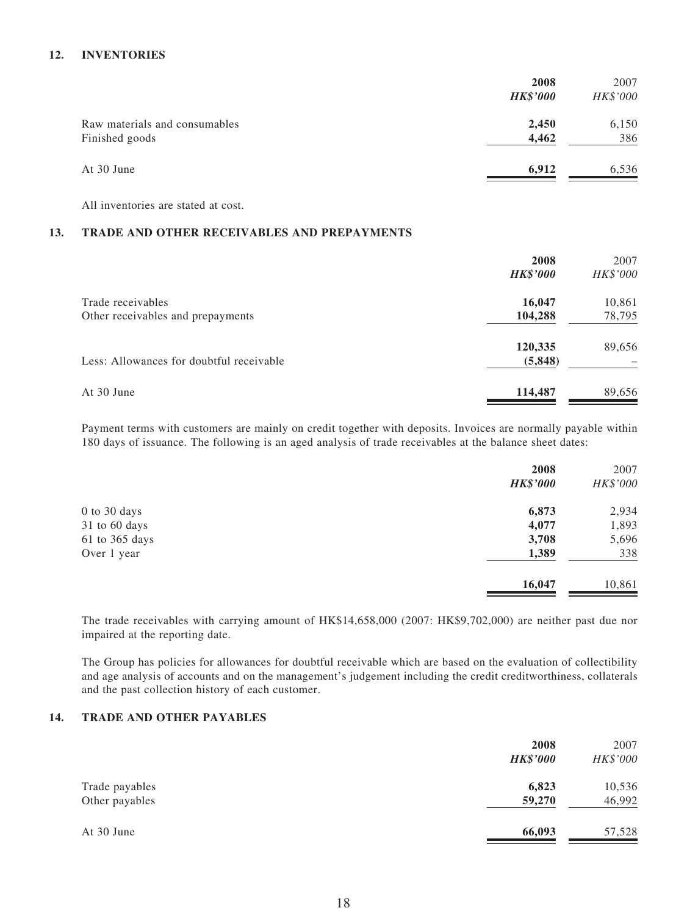#### **12. INVENTORIES**

|                               | 2008            | 2007     |
|-------------------------------|-----------------|----------|
|                               | <b>HK\$'000</b> | HK\$'000 |
| Raw materials and consumables | 2,450           | 6,150    |
| Finished goods                | 4,462           | 386      |
| At 30 June                    | 6,912           | 6,536    |

All inventories are stated at cost.

#### **13. TRADE AND OTHER RECEIVABLES AND PREPAYMENTS**

|                                          | 2008            | 2007     |
|------------------------------------------|-----------------|----------|
|                                          | <b>HK\$'000</b> | HK\$'000 |
| Trade receivables                        | 16,047          | 10,861   |
| Other receivables and prepayments        | 104,288         | 78,795   |
|                                          | 120,335         | 89,656   |
| Less: Allowances for doubtful receivable | (5, 848)        |          |
| At 30 June                               | 114,487         | 89,656   |

Payment terms with customers are mainly on credit together with deposits. Invoices are normally payable within 180 days of issuance. The following is an aged analysis of trade receivables at the balance sheet dates:

| 2008<br><b>HK\$'000</b> | 2007<br>HK\$'000 |
|-------------------------|------------------|
|                         | 2,934            |
| 4,077                   | 1,893            |
| 3,708                   | 5,696            |
| 1,389                   | 338              |
| 16,047                  | 10,861           |
|                         | 6,873            |

The trade receivables with carrying amount of HK\$14,658,000 (2007: HK\$9,702,000) are neither past due nor impaired at the reporting date.

The Group has policies for allowances for doubtful receivable which are based on the evaluation of collectibility and age analysis of accounts and on the management's judgement including the credit creditworthiness, collaterals and the past collection history of each customer.

#### **14. TRADE AND OTHER PAYABLES**

|                                  | 2008<br><b>HK\$'000</b> | 2007<br>HK\$'000 |
|----------------------------------|-------------------------|------------------|
| Trade payables<br>Other payables | 6,823<br>59,270         | 10,536<br>46,992 |
| At 30 June                       | 66,093                  | 57,528           |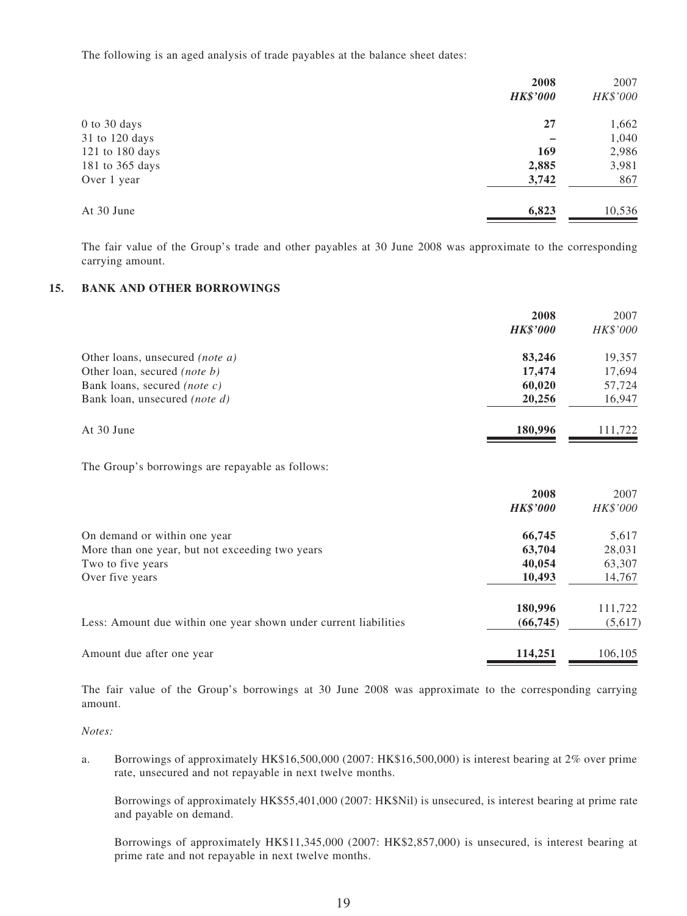The following is an aged analysis of trade payables at the balance sheet dates:

| 2007     |
|----------|
| HK\$'000 |
| 1,662    |
| 1,040    |
| 2,986    |
| 3,981    |
| 867      |
| 10,536   |
|          |

The fair value of the Group's trade and other payables at 30 June 2008 was approximate to the corresponding carrying amount.

#### **15. BANK AND OTHER BORROWINGS**

|                                        | 2008            | 2007     |
|----------------------------------------|-----------------|----------|
|                                        | <b>HK\$'000</b> | HK\$'000 |
| Other loans, unsecured <i>(note a)</i> | 83,246          | 19,357   |
| Other loan, secured <i>(note b)</i>    | 17,474          | 17,694   |
| Bank loans, secured <i>(note c)</i>    | 60,020          | 57,724   |
| Bank loan, unsecured <i>(note d)</i>   | 20,256          | 16,947   |
| At 30 June                             | 180,996         | 111.722  |

The Group's borrowings are repayable as follows:

|                                                                  | 2008<br><b>HK\$'000</b> | 2007<br>HK\$'000 |
|------------------------------------------------------------------|-------------------------|------------------|
|                                                                  |                         |                  |
| On demand or within one year                                     | 66,745                  | 5,617            |
| More than one year, but not exceeding two years                  | 63,704                  | 28,031           |
| Two to five years                                                | 40,054                  | 63,307           |
| Over five years                                                  | 10,493                  | 14,767           |
|                                                                  | 180,996                 | 111,722          |
| Less: Amount due within one year shown under current liabilities | (66, 745)               | (5,617)          |
| Amount due after one year                                        | 114,251                 | 106,105          |

The fair value of the Group's borrowings at 30 June 2008 was approximate to the corresponding carrying amount.

*Notes:*

a. Borrowings of approximately HK\$16,500,000 (2007: HK\$16,500,000) is interest bearing at 2% over prime rate, unsecured and not repayable in next twelve months.

Borrowings of approximately HK\$55,401,000 (2007: HK\$Nil) is unsecured, is interest bearing at prime rate and payable on demand.

Borrowings of approximately HK\$11,345,000 (2007: HK\$2,857,000) is unsecured, is interest bearing at prime rate and not repayable in next twelve months.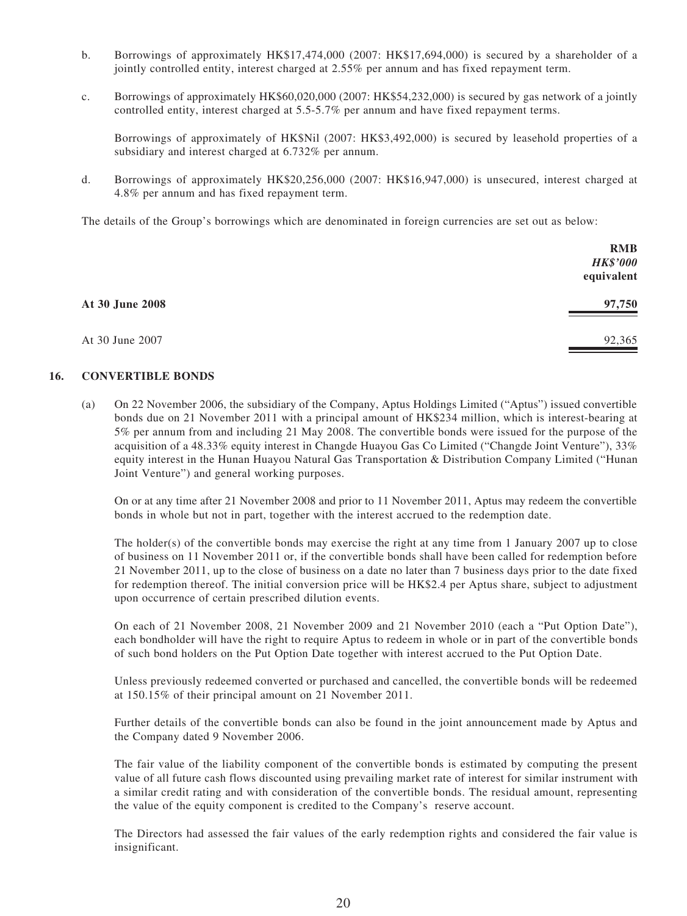- b. Borrowings of approximately HK\$17,474,000 (2007: HK\$17,694,000) is secured by a shareholder of a jointly controlled entity, interest charged at 2.55% per annum and has fixed repayment term.
- c. Borrowings of approximately HK\$60,020,000 (2007: HK\$54,232,000) is secured by gas network of a jointly controlled entity, interest charged at 5.5-5.7% per annum and have fixed repayment terms.

Borrowings of approximately of HK\$Nil (2007: HK\$3,492,000) is secured by leasehold properties of a subsidiary and interest charged at 6.732% per annum.

d. Borrowings of approximately HK\$20,256,000 (2007: HK\$16,947,000) is unsecured, interest charged at 4.8% per annum and has fixed repayment term.

The details of the Group's borrowings which are denominated in foreign currencies are set out as below:

|                 | <b>RMB</b><br><b>HK\$'000</b><br>equivalent |
|-----------------|---------------------------------------------|
| At 30 June 2008 | 97,750                                      |
| At 30 June 2007 | 92,365                                      |

#### **16. CONVERTIBLE BONDS**

(a) On 22 November 2006, the subsidiary of the Company, Aptus Holdings Limited ("Aptus") issued convertible bonds due on 21 November 2011 with a principal amount of HK\$234 million, which is interest-bearing at 5% per annum from and including 21 May 2008. The convertible bonds were issued for the purpose of the acquisition of a 48.33% equity interest in Changde Huayou Gas Co Limited ("Changde Joint Venture"), 33% equity interest in the Hunan Huayou Natural Gas Transportation & Distribution Company Limited ("Hunan Joint Venture") and general working purposes.

On or at any time after 21 November 2008 and prior to 11 November 2011, Aptus may redeem the convertible bonds in whole but not in part, together with the interest accrued to the redemption date.

The holder(s) of the convertible bonds may exercise the right at any time from 1 January 2007 up to close of business on 11 November 2011 or, if the convertible bonds shall have been called for redemption before 21 November 2011, up to the close of business on a date no later than 7 business days prior to the date fixed for redemption thereof. The initial conversion price will be HK\$2.4 per Aptus share, subject to adjustment upon occurrence of certain prescribed dilution events.

On each of 21 November 2008, 21 November 2009 and 21 November 2010 (each a "Put Option Date"), each bondholder will have the right to require Aptus to redeem in whole or in part of the convertible bonds of such bond holders on the Put Option Date together with interest accrued to the Put Option Date.

Unless previously redeemed converted or purchased and cancelled, the convertible bonds will be redeemed at 150.15% of their principal amount on 21 November 2011.

Further details of the convertible bonds can also be found in the joint announcement made by Aptus and the Company dated 9 November 2006.

The fair value of the liability component of the convertible bonds is estimated by computing the present value of all future cash flows discounted using prevailing market rate of interest for similar instrument with a similar credit rating and with consideration of the convertible bonds. The residual amount, representing the value of the equity component is credited to the Company's reserve account.

The Directors had assessed the fair values of the early redemption rights and considered the fair value is insignificant.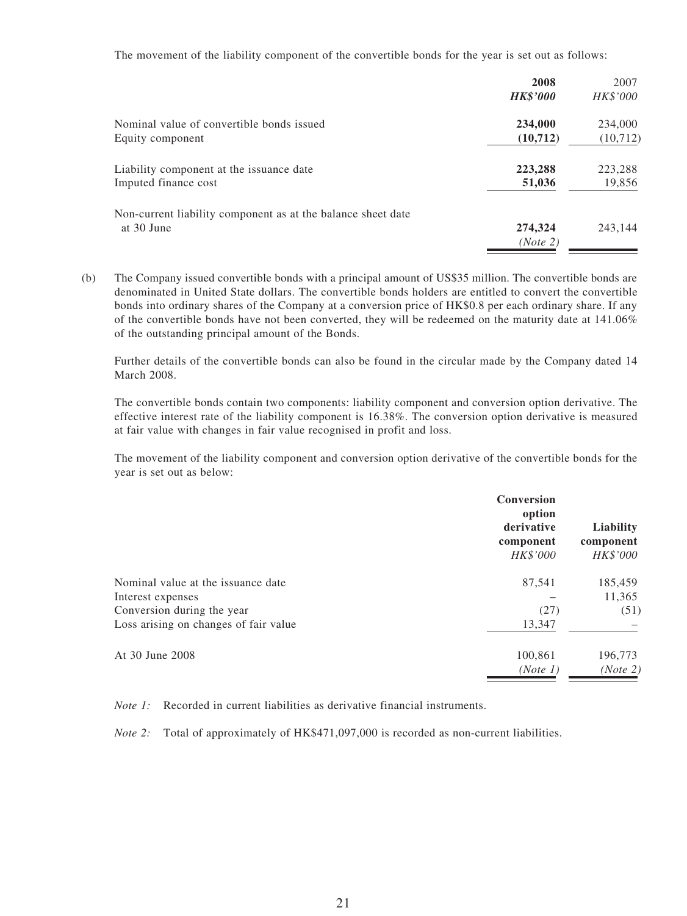The movement of the liability component of the convertible bonds for the year is set out as follows:

|                                                              | 2008            | 2007      |
|--------------------------------------------------------------|-----------------|-----------|
|                                                              | <b>HK\$'000</b> | HK\$'000  |
| Nominal value of convertible bonds issued                    | 234,000         | 234,000   |
| Equity component                                             | (10, 712)       | (10, 712) |
| Liability component at the issuance date                     | 223,288         | 223,288   |
| Imputed finance cost                                         | 51,036          | 19,856    |
| Non-current liability component as at the balance sheet date |                 |           |
| at 30 June                                                   | 274,324         | 243,144   |
|                                                              | (Note 2)        |           |

(b) The Company issued convertible bonds with a principal amount of US\$35 million. The convertible bonds are denominated in United State dollars. The convertible bonds holders are entitled to convert the convertible bonds into ordinary shares of the Company at a conversion price of HK\$0.8 per each ordinary share. If any of the convertible bonds have not been converted, they will be redeemed on the maturity date at 141.06% of the outstanding principal amount of the Bonds.

Further details of the convertible bonds can also be found in the circular made by the Company dated 14 March 2008.

The convertible bonds contain two components: liability component and conversion option derivative. The effective interest rate of the liability component is 16.38%. The conversion option derivative is measured at fair value with changes in fair value recognised in profit and loss.

The movement of the liability component and conversion option derivative of the convertible bonds for the year is set out as below:

|                                       | <b>Conversion</b><br>option<br>derivative<br>component<br>HK\$'000 | Liability<br>component<br>HK\$'000 |
|---------------------------------------|--------------------------------------------------------------------|------------------------------------|
| Nominal value at the issuance date    | 87,541                                                             | 185,459                            |
| Interest expenses                     |                                                                    | 11,365                             |
| Conversion during the year            | (27)                                                               | (51)                               |
| Loss arising on changes of fair value | 13,347                                                             |                                    |
| At 30 June 2008                       | 100,861                                                            | 196,773                            |
|                                       | (Note 1)                                                           | (Note 2)                           |

*Note 1:* Recorded in current liabilities as derivative financial instruments.

*Note 2:* Total of approximately of HK\$471,097,000 is recorded as non-current liabilities.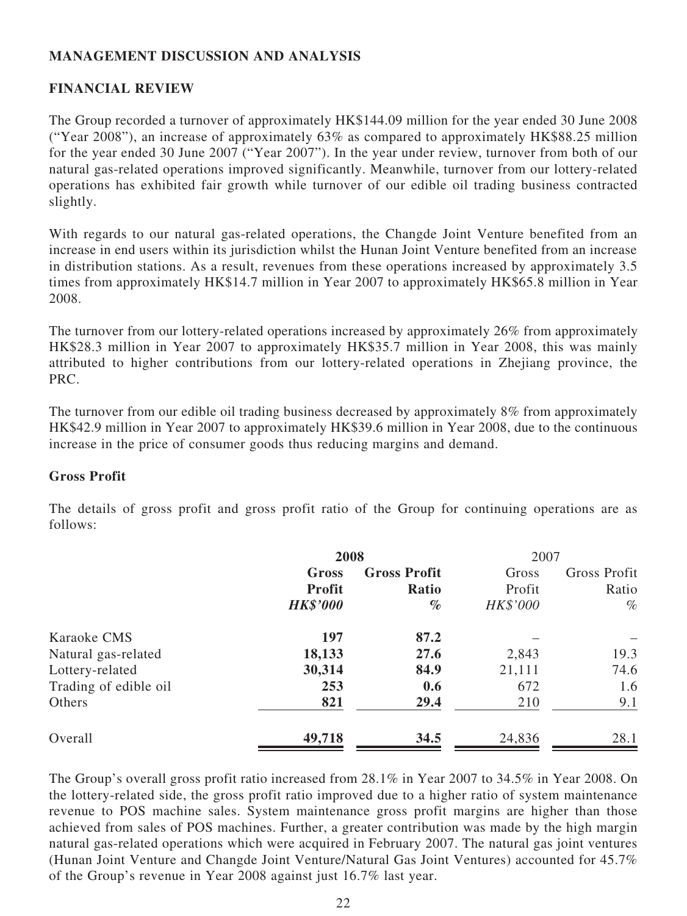### **MANAGEMENT DISCUSSION AND ANALYSIS**

## **FINANCIAL REVIEW**

The Group recorded a turnover of approximately HK\$144.09 million for the year ended 30 June 2008 ("Year 2008"), an increase of approximately 63% as compared to approximately HK\$88.25 million for the year ended 30 June 2007 ("Year 2007"). In the year under review, turnover from both of our natural gas-related operations improved significantly. Meanwhile, turnover from our lottery-related operations has exhibited fair growth while turnover of our edible oil trading business contracted slightly.

With regards to our natural gas-related operations, the Changde Joint Venture benefited from an increase in end users within its jurisdiction whilst the Hunan Joint Venture benefited from an increase in distribution stations. As a result, revenues from these operations increased by approximately 3.5 times from approximately HK\$14.7 million in Year 2007 to approximately HK\$65.8 million in Year 2008.

The turnover from our lottery-related operations increased by approximately 26% from approximately HK\$28.3 million in Year 2007 to approximately HK\$35.7 million in Year 2008, this was mainly attributed to higher contributions from our lottery-related operations in Zhejiang province, the PRC.

The turnover from our edible oil trading business decreased by approximately 8% from approximately HK\$42.9 million in Year 2007 to approximately HK\$39.6 million in Year 2008, due to the continuous increase in the price of consumer goods thus reducing margins and demand.

### **Gross Profit**

The details of gross profit and gross profit ratio of the Group for continuing operations are as follows:

|                       | 2008            |                     | 2007     |              |
|-----------------------|-----------------|---------------------|----------|--------------|
|                       | Gross           | <b>Gross Profit</b> | Gross    | Gross Profit |
|                       | <b>Profit</b>   | Ratio               | Profit   | Ratio        |
|                       | <b>HK\$'000</b> | $\%$                | HK\$'000 | $\%$         |
| Karaoke CMS           | 197             | 87.2                |          |              |
| Natural gas-related   | 18,133          | 27.6                | 2,843    | 19.3         |
| Lottery-related       | 30,314          | 84.9                | 21,111   | 74.6         |
| Trading of edible oil | 253             | 0.6                 | 672      | 1.6          |
| Others                | 821             | 29.4                | 210      | 9.1          |
| Overall               | 49,718          | 34.5                | 24,836   | 28.1         |

The Group's overall gross profit ratio increased from 28.1% in Year 2007 to 34.5% in Year 2008. On the lottery-related side, the gross profit ratio improved due to a higher ratio of system maintenance revenue to POS machine sales. System maintenance gross profit margins are higher than those achieved from sales of POS machines. Further, a greater contribution was made by the high margin natural gas-related operations which were acquired in February 2007. The natural gas joint ventures (Hunan Joint Venture and Changde Joint Venture/Natural Gas Joint Ventures) accounted for 45.7% of the Group's revenue in Year 2008 against just 16.7% last year.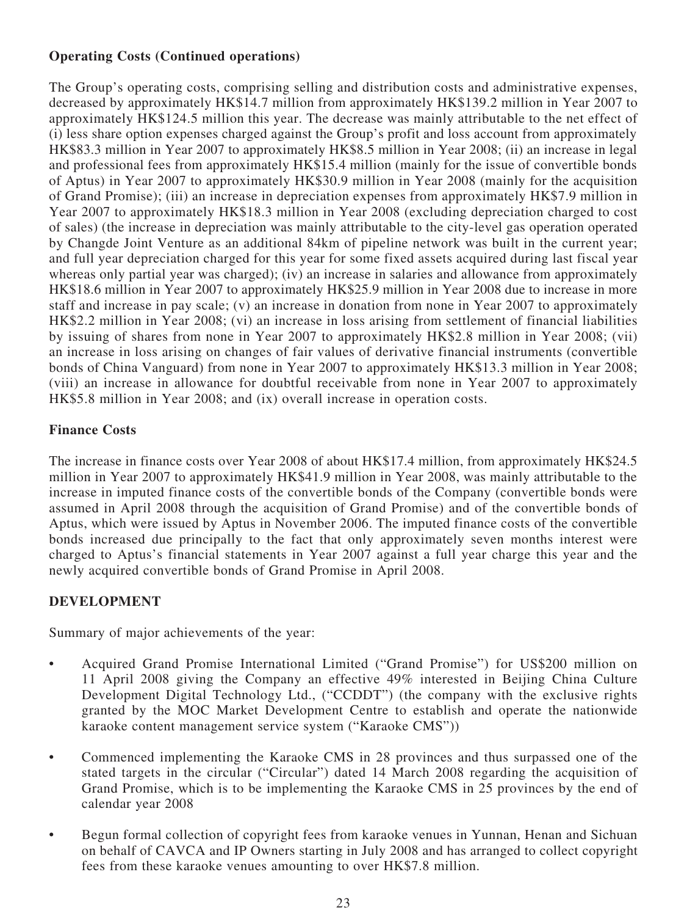## **Operating Costs (Continued operations)**

The Group's operating costs, comprising selling and distribution costs and administrative expenses, decreased by approximately HK\$14.7 million from approximately HK\$139.2 million in Year 2007 to approximately HK\$124.5 million this year. The decrease was mainly attributable to the net effect of (i) less share option expenses charged against the Group's profit and loss account from approximately HK\$83.3 million in Year 2007 to approximately HK\$8.5 million in Year 2008; (ii) an increase in legal and professional fees from approximately HK\$15.4 million (mainly for the issue of convertible bonds of Aptus) in Year 2007 to approximately HK\$30.9 million in Year 2008 (mainly for the acquisition of Grand Promise); (iii) an increase in depreciation expenses from approximately HK\$7.9 million in Year 2007 to approximately HK\$18.3 million in Year 2008 (excluding depreciation charged to cost of sales) (the increase in depreciation was mainly attributable to the city-level gas operation operated by Changde Joint Venture as an additional 84km of pipeline network was built in the current year; and full year depreciation charged for this year for some fixed assets acquired during last fiscal year whereas only partial year was charged); (iv) an increase in salaries and allowance from approximately HK\$18.6 million in Year 2007 to approximately HK\$25.9 million in Year 2008 due to increase in more staff and increase in pay scale; (v) an increase in donation from none in Year 2007 to approximately HK\$2.2 million in Year 2008; (vi) an increase in loss arising from settlement of financial liabilities by issuing of shares from none in Year 2007 to approximately HK\$2.8 million in Year 2008; (vii) an increase in loss arising on changes of fair values of derivative financial instruments (convertible bonds of China Vanguard) from none in Year 2007 to approximately HK\$13.3 million in Year 2008; (viii) an increase in allowance for doubtful receivable from none in Year 2007 to approximately HK\$5.8 million in Year 2008; and (ix) overall increase in operation costs.

## **Finance Costs**

The increase in finance costs over Year 2008 of about HK\$17.4 million, from approximately HK\$24.5 million in Year 2007 to approximately HK\$41.9 million in Year 2008, was mainly attributable to the increase in imputed finance costs of the convertible bonds of the Company (convertible bonds were assumed in April 2008 through the acquisition of Grand Promise) and of the convertible bonds of Aptus, which were issued by Aptus in November 2006. The imputed finance costs of the convertible bonds increased due principally to the fact that only approximately seven months interest were charged to Aptus's financial statements in Year 2007 against a full year charge this year and the newly acquired convertible bonds of Grand Promise in April 2008.

## **DEVELOPMENT**

Summary of major achievements of the year:

- Acquired Grand Promise International Limited ("Grand Promise") for US\$200 million on 11 April 2008 giving the Company an effective 49% interested in Beijing China Culture Development Digital Technology Ltd., ("CCDDT") (the company with the exclusive rights granted by the MOC Market Development Centre to establish and operate the nationwide karaoke content management service system ("Karaoke CMS"))
- Commenced implementing the Karaoke CMS in 28 provinces and thus surpassed one of the stated targets in the circular ("Circular") dated 14 March 2008 regarding the acquisition of Grand Promise, which is to be implementing the Karaoke CMS in 25 provinces by the end of calendar year 2008
- Begun formal collection of copyright fees from karaoke venues in Yunnan, Henan and Sichuan on behalf of CAVCA and IP Owners starting in July 2008 and has arranged to collect copyright fees from these karaoke venues amounting to over HK\$7.8 million.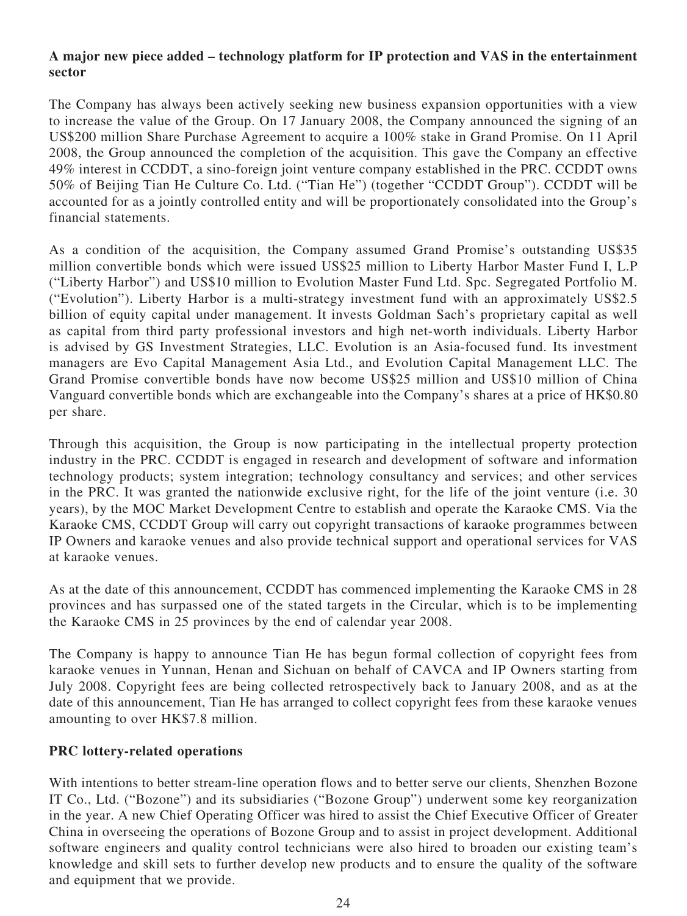### **A major new piece added – technology platform for IP protection and VAS in the entertainment sector**

The Company has always been actively seeking new business expansion opportunities with a view to increase the value of the Group. On 17 January 2008, the Company announced the signing of an US\$200 million Share Purchase Agreement to acquire a 100% stake in Grand Promise. On 11 April 2008, the Group announced the completion of the acquisition. This gave the Company an effective 49% interest in CCDDT, a sino-foreign joint venture company established in the PRC. CCDDT owns 50% of Beijing Tian He Culture Co. Ltd. ("Tian He") (together "CCDDT Group"). CCDDT will be accounted for as a jointly controlled entity and will be proportionately consolidated into the Group's financial statements.

As a condition of the acquisition, the Company assumed Grand Promise's outstanding US\$35 million convertible bonds which were issued US\$25 million to Liberty Harbor Master Fund I, L.P ("Liberty Harbor") and US\$10 million to Evolution Master Fund Ltd. Spc. Segregated Portfolio M. ("Evolution"). Liberty Harbor is a multi-strategy investment fund with an approximately US\$2.5 billion of equity capital under management. It invests Goldman Sach's proprietary capital as well as capital from third party professional investors and high net-worth individuals. Liberty Harbor is advised by GS Investment Strategies, LLC. Evolution is an Asia-focused fund. Its investment managers are Evo Capital Management Asia Ltd., and Evolution Capital Management LLC. The Grand Promise convertible bonds have now become US\$25 million and US\$10 million of China Vanguard convertible bonds which are exchangeable into the Company's shares at a price of HK\$0.80 per share.

Through this acquisition, the Group is now participating in the intellectual property protection industry in the PRC. CCDDT is engaged in research and development of software and information technology products; system integration; technology consultancy and services; and other services in the PRC. It was granted the nationwide exclusive right, for the life of the joint venture (i.e. 30 years), by the MOC Market Development Centre to establish and operate the Karaoke CMS. Via the Karaoke CMS, CCDDT Group will carry out copyright transactions of karaoke programmes between IP Owners and karaoke venues and also provide technical support and operational services for VAS at karaoke venues.

As at the date of this announcement, CCDDT has commenced implementing the Karaoke CMS in 28 provinces and has surpassed one of the stated targets in the Circular, which is to be implementing the Karaoke CMS in 25 provinces by the end of calendar year 2008.

The Company is happy to announce Tian He has begun formal collection of copyright fees from karaoke venues in Yunnan, Henan and Sichuan on behalf of CAVCA and IP Owners starting from July 2008. Copyright fees are being collected retrospectively back to January 2008, and as at the date of this announcement, Tian He has arranged to collect copyright fees from these karaoke venues amounting to over HK\$7.8 million.

### **PRC lottery-related operations**

With intentions to better stream-line operation flows and to better serve our clients, Shenzhen Bozone IT Co., Ltd. ("Bozone") and its subsidiaries ("Bozone Group") underwent some key reorganization in the year. A new Chief Operating Officer was hired to assist the Chief Executive Officer of Greater China in overseeing the operations of Bozone Group and to assist in project development. Additional software engineers and quality control technicians were also hired to broaden our existing team's knowledge and skill sets to further develop new products and to ensure the quality of the software and equipment that we provide.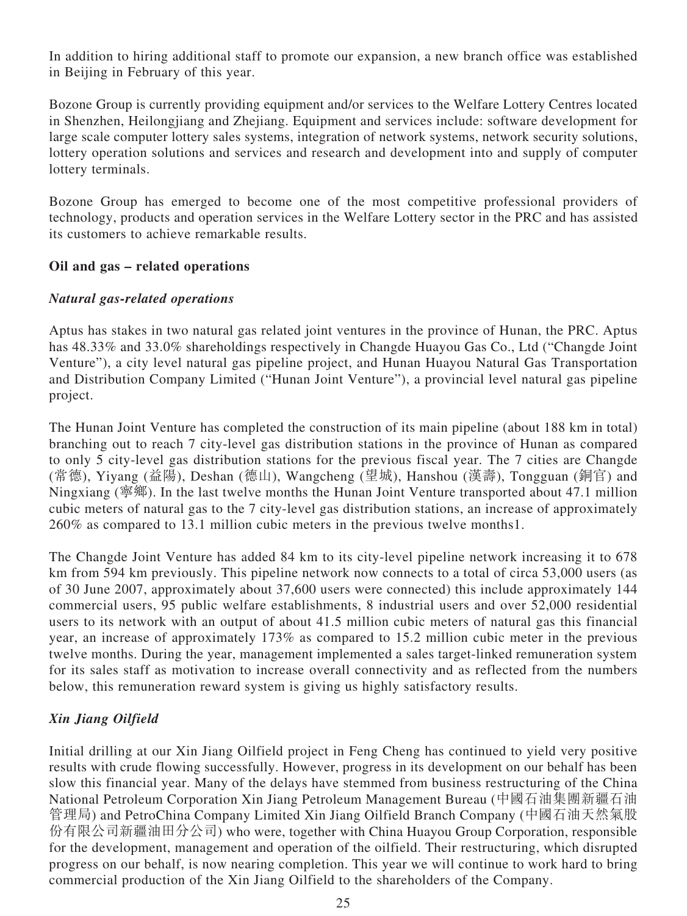In addition to hiring additional staff to promote our expansion, a new branch office was established in Beijing in February of this year.

Bozone Group is currently providing equipment and/or services to the Welfare Lottery Centres located in Shenzhen, Heilongjiang and Zhejiang. Equipment and services include: software development for large scale computer lottery sales systems, integration of network systems, network security solutions, lottery operation solutions and services and research and development into and supply of computer lottery terminals.

Bozone Group has emerged to become one of the most competitive professional providers of technology, products and operation services in the Welfare Lottery sector in the PRC and has assisted its customers to achieve remarkable results.

#### **Oil and gas – related operations**

### *Natural gas-related operations*

Aptus has stakes in two natural gas related joint ventures in the province of Hunan, the PRC. Aptus has 48.33% and 33.0% shareholdings respectively in Changde Huayou Gas Co., Ltd ("Changde Joint Venture"), a city level natural gas pipeline project, and Hunan Huayou Natural Gas Transportation and Distribution Company Limited ("Hunan Joint Venture"), a provincial level natural gas pipeline project.

The Hunan Joint Venture has completed the construction of its main pipeline (about 188 km in total) branching out to reach 7 city-level gas distribution stations in the province of Hunan as compared to only 5 city-level gas distribution stations for the previous fiscal year. The 7 cities are Changde (常德), Yiyang (益陽), Deshan (德山), Wangcheng (望城), Hanshou (漢壽), Tongguan (銅官) and Ningxiang (寧鄉). In the last twelve months the Hunan Joint Venture transported about 47.1 million cubic meters of natural gas to the 7 city-level gas distribution stations, an increase of approximately 260% as compared to 13.1 million cubic meters in the previous twelve months1.

The Changde Joint Venture has added 84 km to its city-level pipeline network increasing it to 678 km from 594 km previously. This pipeline network now connects to a total of circa 53,000 users (as of 30 June 2007, approximately about 37,600 users were connected) this include approximately 144 commercial users, 95 public welfare establishments, 8 industrial users and over 52,000 residential users to its network with an output of about 41.5 million cubic meters of natural gas this financial year, an increase of approximately 173% as compared to 15.2 million cubic meter in the previous twelve months. During the year, management implemented a sales target-linked remuneration system for its sales staff as motivation to increase overall connectivity and as reflected from the numbers below, this remuneration reward system is giving us highly satisfactory results.

## *Xin Jiang Oilfield*

Initial drilling at our Xin Jiang Oilfield project in Feng Cheng has continued to yield very positive results with crude flowing successfully. However, progress in its development on our behalf has been slow this financial year. Many of the delays have stemmed from business restructuring of the China National Petroleum Corporation Xin Jiang Petroleum Management Bureau (中國石油集團新疆石油 管理局) and PetroChina Company Limited Xin Jiang Oilfield Branch Company (中國石油天然氣股 份有限公司新疆油田分公司) who were, together with China Huayou Group Corporation, responsible for the development, management and operation of the oilfield. Their restructuring, which disrupted progress on our behalf, is now nearing completion. This year we will continue to work hard to bring commercial production of the Xin Jiang Oilfield to the shareholders of the Company.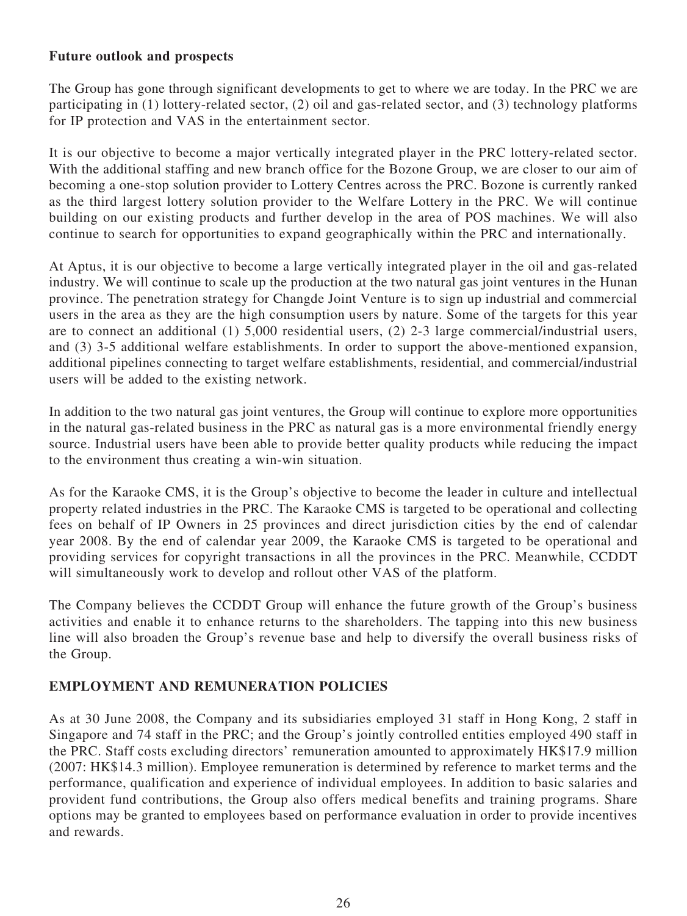#### **Future outlook and prospects**

The Group has gone through significant developments to get to where we are today. In the PRC we are participating in (1) lottery-related sector, (2) oil and gas-related sector, and (3) technology platforms for IP protection and VAS in the entertainment sector.

It is our objective to become a major vertically integrated player in the PRC lottery-related sector. With the additional staffing and new branch office for the Bozone Group, we are closer to our aim of becoming a one-stop solution provider to Lottery Centres across the PRC. Bozone is currently ranked as the third largest lottery solution provider to the Welfare Lottery in the PRC. We will continue building on our existing products and further develop in the area of POS machines. We will also continue to search for opportunities to expand geographically within the PRC and internationally.

At Aptus, it is our objective to become a large vertically integrated player in the oil and gas-related industry. We will continue to scale up the production at the two natural gas joint ventures in the Hunan province. The penetration strategy for Changde Joint Venture is to sign up industrial and commercial users in the area as they are the high consumption users by nature. Some of the targets for this year are to connect an additional (1) 5,000 residential users, (2) 2-3 large commercial/industrial users, and (3) 3-5 additional welfare establishments. In order to support the above-mentioned expansion, additional pipelines connecting to target welfare establishments, residential, and commercial/industrial users will be added to the existing network.

In addition to the two natural gas joint ventures, the Group will continue to explore more opportunities in the natural gas-related business in the PRC as natural gas is a more environmental friendly energy source. Industrial users have been able to provide better quality products while reducing the impact to the environment thus creating a win-win situation.

As for the Karaoke CMS, it is the Group's objective to become the leader in culture and intellectual property related industries in the PRC. The Karaoke CMS is targeted to be operational and collecting fees on behalf of IP Owners in 25 provinces and direct jurisdiction cities by the end of calendar year 2008. By the end of calendar year 2009, the Karaoke CMS is targeted to be operational and providing services for copyright transactions in all the provinces in the PRC. Meanwhile, CCDDT will simultaneously work to develop and rollout other VAS of the platform.

The Company believes the CCDDT Group will enhance the future growth of the Group's business activities and enable it to enhance returns to the shareholders. The tapping into this new business line will also broaden the Group's revenue base and help to diversify the overall business risks of the Group.

### **EMPLOYMENT AND REMUNERATION POLICIES**

As at 30 June 2008, the Company and its subsidiaries employed 31 staff in Hong Kong, 2 staff in Singapore and 74 staff in the PRC; and the Group's jointly controlled entities employed 490 staff in the PRC. Staff costs excluding directors' remuneration amounted to approximately HK\$17.9 million (2007: HK\$14.3 million). Employee remuneration is determined by reference to market terms and the performance, qualification and experience of individual employees. In addition to basic salaries and provident fund contributions, the Group also offers medical benefits and training programs. Share options may be granted to employees based on performance evaluation in order to provide incentives and rewards.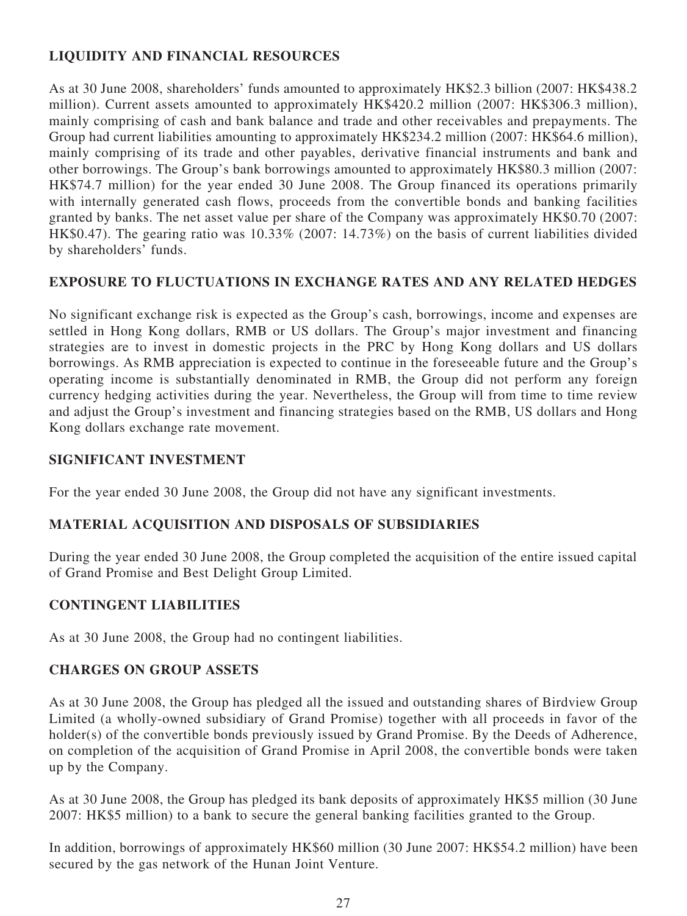# **LIQUIDITY AND FINANCIAL RESOURCES**

As at 30 June 2008, shareholders' funds amounted to approximately HK\$2.3 billion (2007: HK\$438.2 million). Current assets amounted to approximately HK\$420.2 million (2007: HK\$306.3 million), mainly comprising of cash and bank balance and trade and other receivables and prepayments. The Group had current liabilities amounting to approximately HK\$234.2 million (2007: HK\$64.6 million), mainly comprising of its trade and other payables, derivative financial instruments and bank and other borrowings. The Group's bank borrowings amounted to approximately HK\$80.3 million (2007: HK\$74.7 million) for the year ended 30 June 2008. The Group financed its operations primarily with internally generated cash flows, proceeds from the convertible bonds and banking facilities granted by banks. The net asset value per share of the Company was approximately HK\$0.70 (2007: HK\$0.47). The gearing ratio was 10.33% (2007: 14.73%) on the basis of current liabilities divided by shareholders' funds.

## **EXPOSURE TO FLUCTUATIONS IN EXCHANGE RATES AND ANY RELATED HEDGES**

No significant exchange risk is expected as the Group's cash, borrowings, income and expenses are settled in Hong Kong dollars, RMB or US dollars. The Group's major investment and financing strategies are to invest in domestic projects in the PRC by Hong Kong dollars and US dollars borrowings. As RMB appreciation is expected to continue in the foreseeable future and the Group's operating income is substantially denominated in RMB, the Group did not perform any foreign currency hedging activities during the year. Nevertheless, the Group will from time to time review and adjust the Group's investment and financing strategies based on the RMB, US dollars and Hong Kong dollars exchange rate movement.

### **SIGNIFICANT INVESTMENT**

For the year ended 30 June 2008, the Group did not have any significant investments.

### **MATERIAL ACQUISITION AND DISPOSALS OF SUBSIDIARIES**

During the year ended 30 June 2008, the Group completed the acquisition of the entire issued capital of Grand Promise and Best Delight Group Limited.

### **CONTINGENT LIABILITIES**

As at 30 June 2008, the Group had no contingent liabilities.

### **CHARGES ON GROUP ASSETS**

As at 30 June 2008, the Group has pledged all the issued and outstanding shares of Birdview Group Limited (a wholly-owned subsidiary of Grand Promise) together with all proceeds in favor of the holder(s) of the convertible bonds previously issued by Grand Promise. By the Deeds of Adherence, on completion of the acquisition of Grand Promise in April 2008, the convertible bonds were taken up by the Company.

As at 30 June 2008, the Group has pledged its bank deposits of approximately HK\$5 million (30 June 2007: HK\$5 million) to a bank to secure the general banking facilities granted to the Group.

In addition, borrowings of approximately HK\$60 million (30 June 2007: HK\$54.2 million) have been secured by the gas network of the Hunan Joint Venture.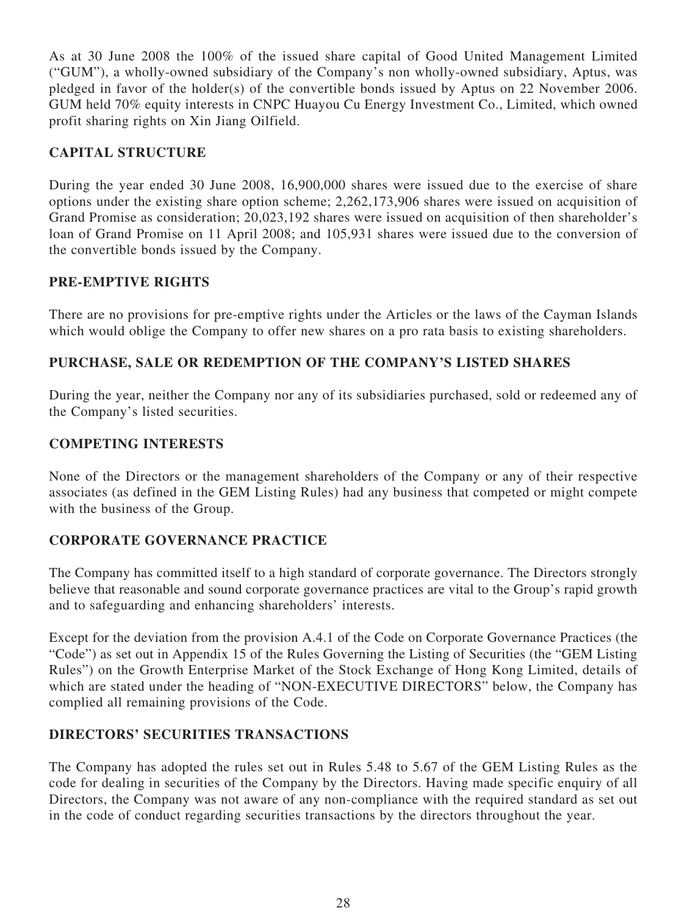As at 30 June 2008 the 100% of the issued share capital of Good United Management Limited ("GUM"), a wholly-owned subsidiary of the Company's non wholly-owned subsidiary, Aptus, was pledged in favor of the holder(s) of the convertible bonds issued by Aptus on 22 November 2006. GUM held 70% equity interests in CNPC Huayou Cu Energy Investment Co., Limited, which owned profit sharing rights on Xin Jiang Oilfield.

### **CAPITAL STRUCTURE**

During the year ended 30 June 2008, 16,900,000 shares were issued due to the exercise of share options under the existing share option scheme; 2,262,173,906 shares were issued on acquisition of Grand Promise as consideration; 20,023,192 shares were issued on acquisition of then shareholder's loan of Grand Promise on 11 April 2008; and 105,931 shares were issued due to the conversion of the convertible bonds issued by the Company.

### **PRE-EMPTIVE RIGHTS**

There are no provisions for pre-emptive rights under the Articles or the laws of the Cayman Islands which would oblige the Company to offer new shares on a pro rata basis to existing shareholders.

## **PURCHASE, SALE OR REDEMPTION OF THE COMPANY'S LISTED SHARES**

During the year, neither the Company nor any of its subsidiaries purchased, sold or redeemed any of the Company's listed securities.

## **COMPETING INTERESTS**

None of the Directors or the management shareholders of the Company or any of their respective associates (as defined in the GEM Listing Rules) had any business that competed or might compete with the business of the Group.

## **CORPORATE GOVERNANCE PRACTICE**

The Company has committed itself to a high standard of corporate governance. The Directors strongly believe that reasonable and sound corporate governance practices are vital to the Group's rapid growth and to safeguarding and enhancing shareholders' interests.

Except for the deviation from the provision A.4.1 of the Code on Corporate Governance Practices (the "Code") as set out in Appendix 15 of the Rules Governing the Listing of Securities (the "GEM Listing Rules") on the Growth Enterprise Market of the Stock Exchange of Hong Kong Limited, details of which are stated under the heading of "NON-EXECUTIVE DIRECTORS" below, the Company has complied all remaining provisions of the Code.

## **DIRECTORS' SECURITIES TRANSACTIONS**

The Company has adopted the rules set out in Rules 5.48 to 5.67 of the GEM Listing Rules as the code for dealing in securities of the Company by the Directors. Having made specific enquiry of all Directors, the Company was not aware of any non-compliance with the required standard as set out in the code of conduct regarding securities transactions by the directors throughout the year.